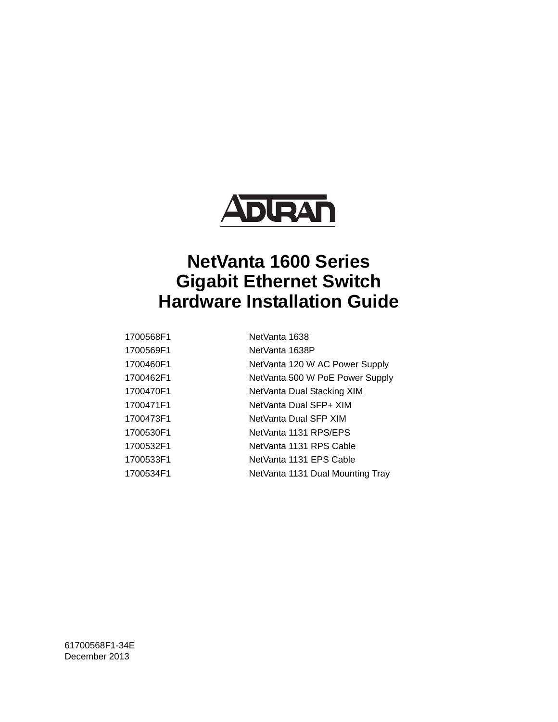

# **NetVanta 1600 Series Gigabit Ethernet Switch Hardware Installation Guide**

| 1700568F1 | NetVanta 1638                    |
|-----------|----------------------------------|
| 1700569F1 | NetVanta 1638P                   |
| 1700460F1 | NetVanta 120 W AC Power Supply   |
| 1700462F1 | NetVanta 500 W PoE Power Supply  |
| 1700470F1 | NetVanta Dual Stacking XIM       |
| 1700471F1 | NetVanta Dual SFP+ XIM           |
| 1700473F1 | NetVanta Dual SFP XIM            |
| 1700530F1 | NetVanta 1131 RPS/EPS            |
| 1700532F1 | NetVanta 1131 RPS Cable          |
| 1700533F1 | NetVanta 1131 EPS Cable          |
| 1700534F1 | NetVanta 1131 Dual Mounting Tray |

61700568F1-34E December 2013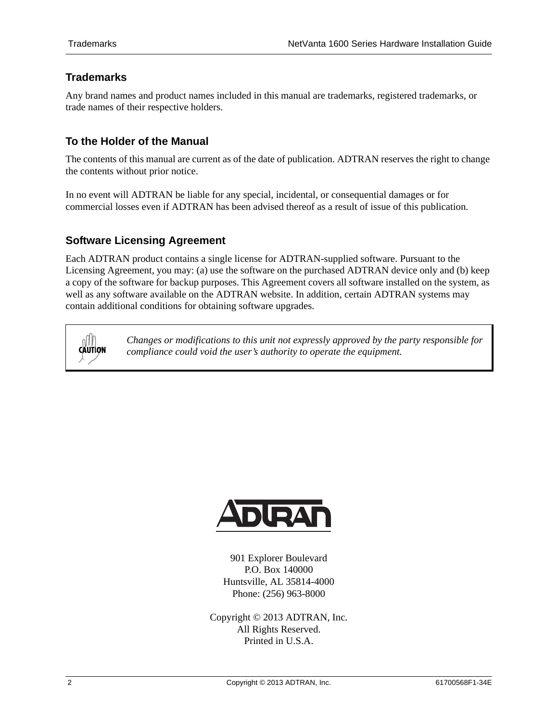# **Trademarks**

Any brand names and product names included in this manual are trademarks, registered trademarks, or trade names of their respective holders.

### **To the Holder of the Manual**

The contents of this manual are current as of the date of publication. ADTRAN reserves the right to change the contents without prior notice.

In no event will ADTRAN be liable for any special, incidental, or consequential damages or for commercial losses even if ADTRAN has been advised thereof as a result of issue of this publication.

### **Software Licensing Agreement**

Each ADTRAN product contains a single license for ADTRAN-supplied software. Pursuant to the Licensing Agreement, you may: (a) use the software on the purchased ADTRAN device only and (b) keep a copy of the software for backup purposes. This Agreement covers all software installed on the system, as well as any software available on the ADTRAN website. In addition, certain ADTRAN systems may contain additional conditions for obtaining software upgrades.

**CAUTION** 

*Changes or modifications to this unit not expressly approved by the party responsible for compliance could void the user's authority to operate the equipment.*



901 Explorer Boulevard P.O. Box 140000 Huntsville, AL 35814-4000 Phone: (256) 963-8000

Copyright © 2013 ADTRAN, Inc. All Rights Reserved. Printed in U.S.A.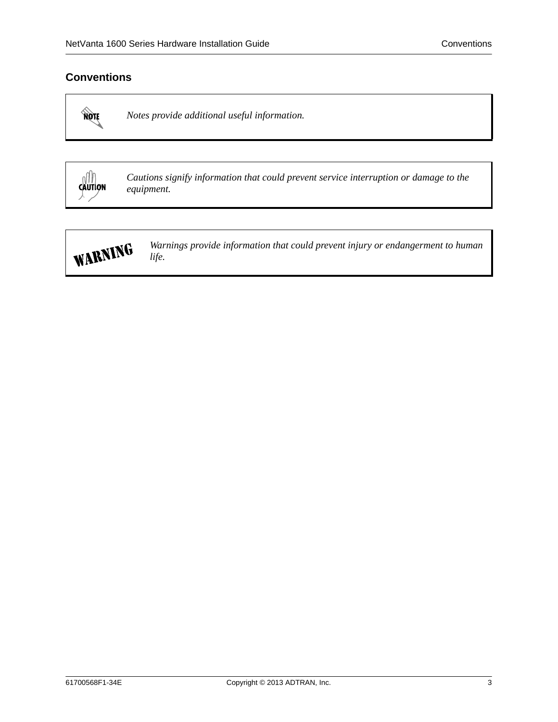## **Conventions**

MOTE

*Notes provide additional useful information.*



*Cautions signify information that could prevent service interruption or damage to the equipment.*



*Warnings provide information that could prevent injury or endangerment to human life.*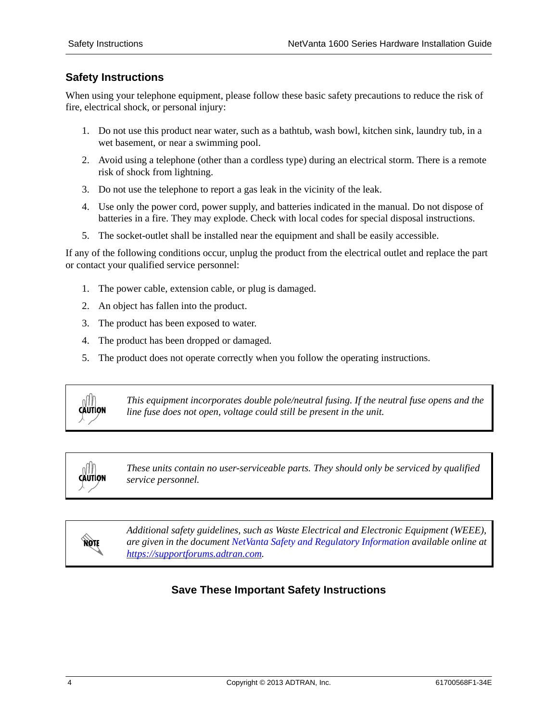## **Safety Instructions**

When using your telephone equipment, please follow these basic safety precautions to reduce the risk of fire, electrical shock, or personal injury:

- 1. Do not use this product near water, such as a bathtub, wash bowl, kitchen sink, laundry tub, in a wet basement, or near a swimming pool.
- 2. Avoid using a telephone (other than a cordless type) during an electrical storm. There is a remote risk of shock from lightning.
- 3. Do not use the telephone to report a gas leak in the vicinity of the leak.
- 4. Use only the power cord, power supply, and batteries indicated in the manual. Do not dispose of batteries in a fire. They may explode. Check with local codes for special disposal instructions.
- 5. The socket-outlet shall be installed near the equipment and shall be easily accessible.

If any of the following conditions occur, unplug the product from the electrical outlet and replace the part or contact your qualified service personnel:

- 1. The power cable, extension cable, or plug is damaged.
- 2. An object has fallen into the product.
- 3. The product has been exposed to water.
- 4. The product has been dropped or damaged.
- 5. The product does not operate correctly when you follow the operating instructions.



*This equipment incorporates double pole/neutral fusing. If the neutral fuse opens and the line fuse does not open, voltage could still be present in the unit.*



*These units contain no user-serviceable parts. They should only be serviced by qualified service personnel.*

nov

*Additional safety guidelines, such as Waste Electrical and Electronic Equipment (WEEE), are given in the document [NetVanta Safety and Regulatory Information](https://supportforums.adtran.com/docs/DOC-2300) available online at [https://supportforums.adtran.com](https://supportforums.adtran.com/welcome).*

# **Save These Important Safety Instructions**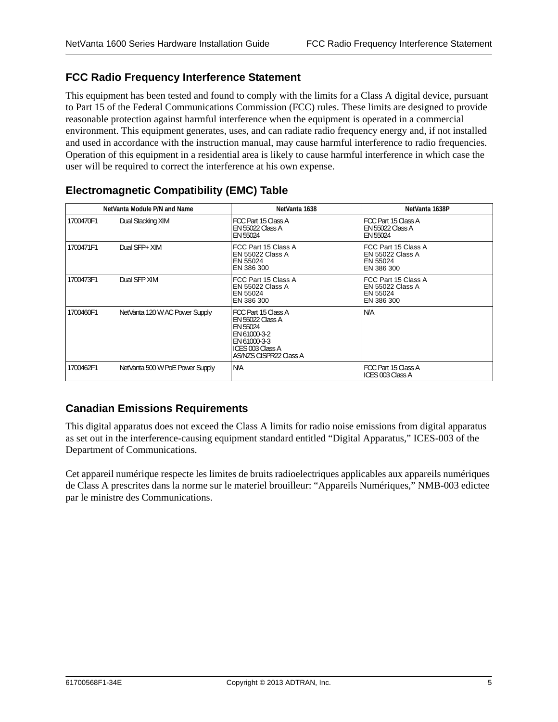# **FCC Radio Frequency Interference Statement**

This equipment has been tested and found to comply with the limits for a Class A digital device, pursuant to Part 15 of the Federal Communications Commission (FCC) rules. These limits are designed to provide reasonable protection against harmful interference when the equipment is operated in a commercial environment. This equipment generates, uses, and can radiate radio frequency energy and, if not installed and used in accordance with the instruction manual, may cause harmful interference to radio frequencies. Operation of this equipment in a residential area is likely to cause harmful interference in which case the user will be required to correct the interference at his own expense.

| NetVanta Module P/N and Name |                                 | NetVanta 1638                                                                                                                                   | NetVanta 1638P                                                           |
|------------------------------|---------------------------------|-------------------------------------------------------------------------------------------------------------------------------------------------|--------------------------------------------------------------------------|
| 1700470F1                    | Dual Stacking XIM               | FCC Part 15 Class A<br><b>EN 55022 Class A</b><br><b>EN 55024</b>                                                                               | <b>FCC Part 15 Class A</b><br><b>EN 55022 Class A</b><br>EN 55024        |
| 1700471F1                    | Dual SFP+ XIM                   | FCC Part 15 Class A<br><b>EN 55022 Class A</b><br>EN 55024<br>EN 386 300                                                                        | FCC Part 15 Class A<br><b>EN 55022 Class A</b><br>EN 55024<br>EN 386 300 |
| 1700473F1                    | Dual SFP XIM                    | FCC Part 15 Class A<br><b>EN 55022 Class A</b><br>EN 55024<br>EN 386 300                                                                        | FCC Part 15 Class A<br>EN 55022 Class A<br>EN 55024<br>EN 386 300        |
| 1700460F1                    | NetVanta 120 W AC Power Supply  | FCC Part 15 Class A<br><b>EN 55022 Class A</b><br><b>EN 55024</b><br>EN 61000-3-2<br>EN 61000-3-3<br>ICES 003 Class A<br>AS/NZS CISPR22 Class A | N/A                                                                      |
| 1700462F1                    | NetVanta 500 W PoE Power Supply | N/A                                                                                                                                             | FCC Part 15 Class A<br>ICES 003 Class A                                  |

# <span id="page-4-0"></span>**Electromagnetic Compatibility (EMC) Table**

## **Canadian Emissions Requirements**

This digital apparatus does not exceed the Class A limits for radio noise emissions from digital apparatus as set out in the interference-causing equipment standard entitled "Digital Apparatus," ICES-003 of the Department of Communications.

Cet appareil numérique respecte les limites de bruits radioelectriques applicables aux appareils numériques de Class A prescrites dans la norme sur le materiel brouilleur: "Appareils Numériques," NMB-003 edictee par le ministre des Communications.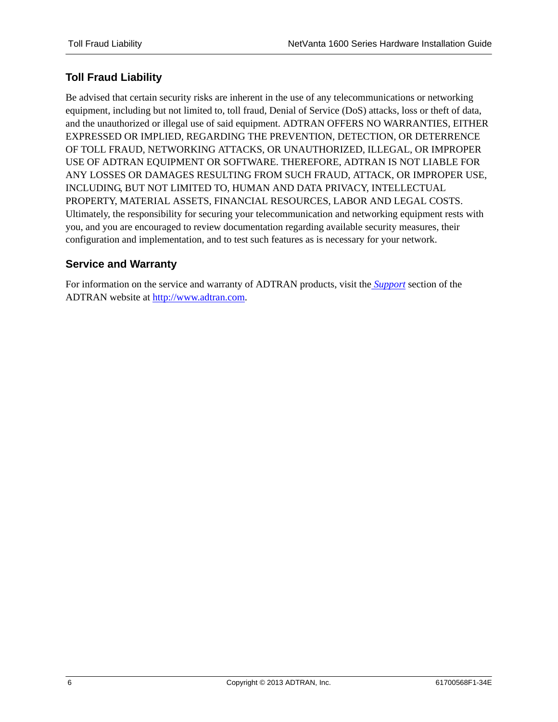# **Toll Fraud Liability**

Be advised that certain security risks are inherent in the use of any telecommunications or networking equipment, including but not limited to, toll fraud, Denial of Service (DoS) attacks, loss or theft of data, and the unauthorized or illegal use of said equipment. ADTRAN OFFERS NO WARRANTIES, EITHER EXPRESSED OR IMPLIED, REGARDING THE PREVENTION, DETECTION, OR DETERRENCE OF TOLL FRAUD, NETWORKING ATTACKS, OR UNAUTHORIZED, ILLEGAL, OR IMPROPER USE OF ADTRAN EQUIPMENT OR SOFTWARE. THEREFORE, ADTRAN IS NOT LIABLE FOR ANY LOSSES OR DAMAGES RESULTING FROM SUCH FRAUD, ATTACK, OR IMPROPER USE, INCLUDING, BUT NOT LIMITED TO, HUMAN AND DATA PRIVACY, INTELLECTUAL PROPERTY, MATERIAL ASSETS, FINANCIAL RESOURCES, LABOR AND LEGAL COSTS. Ultimately, the responsibility for securing your telecommunication and networking equipment rests with you, and you are encouraged to review documentation regarding available security measures, their configuration and implementation, and to test such features as is necessary for your network.

## **Service and Warranty**

For information on the service and warranty of ADTRAN products, visit the *[Support](http://www.adtran.com/web/page/portal/Adtran/wp_support_landing)* section of the ADTRAN website at [http://www.adtran.com.](http:www.adtran.com)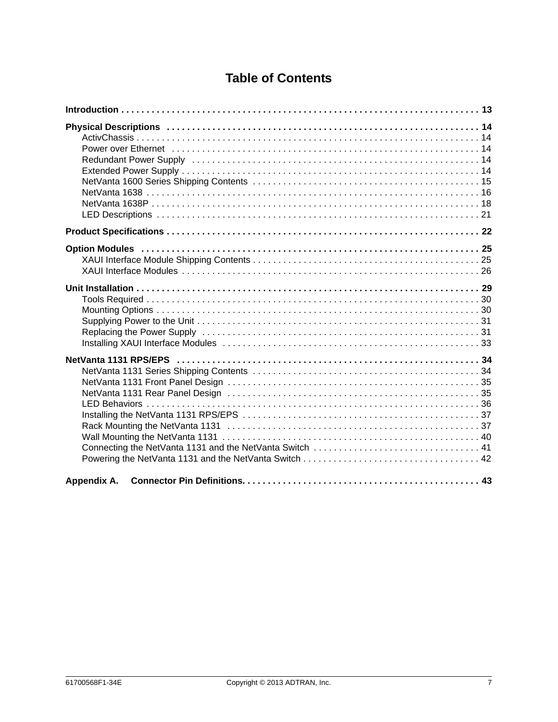# **Table of Contents**

| Power over Ethernet (and according to the control of the control of the control of the control of the control of the control of the control of the control of the control of the control of the control of the control of the<br>Redundant Power Supply (and accommodation of the contract of the contract of the Redundant Power Supply (and t |
|-------------------------------------------------------------------------------------------------------------------------------------------------------------------------------------------------------------------------------------------------------------------------------------------------------------------------------------------------|
|                                                                                                                                                                                                                                                                                                                                                 |
|                                                                                                                                                                                                                                                                                                                                                 |
|                                                                                                                                                                                                                                                                                                                                                 |
|                                                                                                                                                                                                                                                                                                                                                 |
| Appendix A.                                                                                                                                                                                                                                                                                                                                     |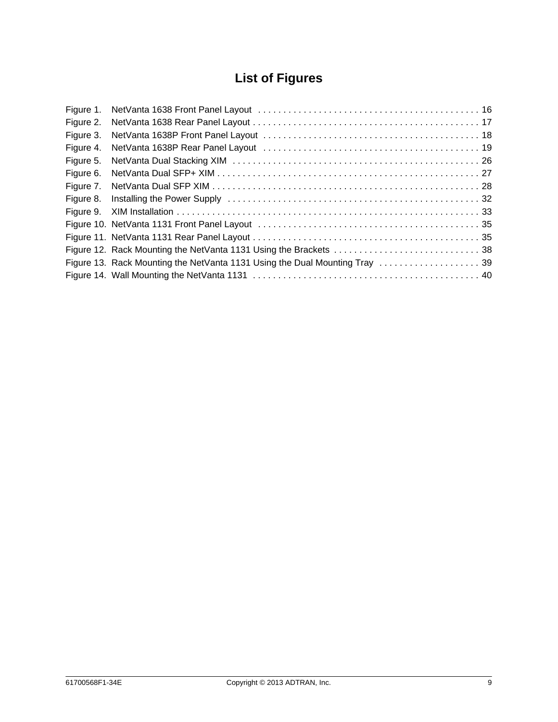# **List of Figures**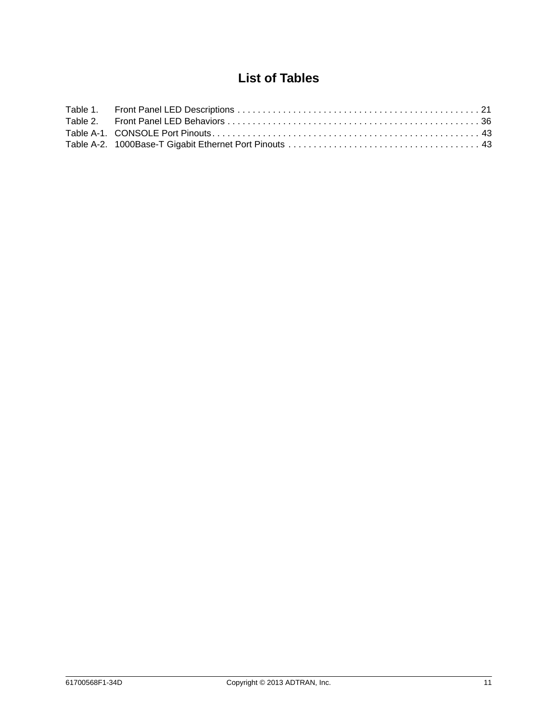# **List of Tables**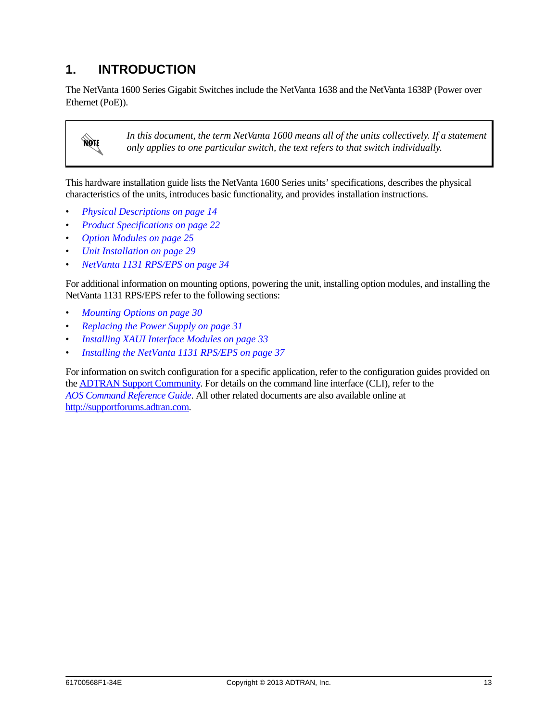# <span id="page-12-0"></span>**1. INTRODUCTION**

The NetVanta 1600 Series Gigabit Switches include the NetVanta 1638 and the NetVanta 1638P (Power over Ethernet (PoE)).



*In this document, the term NetVanta 1600 means all of the units collectively. If a statement only applies to one particular switch, the text refers to that switch individually.*

This hardware installation guide lists the NetVanta 1600 Series units' specifications, describes the physical characteristics of the units, introduces basic functionality, and provides installation instructions.

- *[Physical Descriptions on page 14](#page-13-0)*
- *[Product Specifications on page 22](#page-21-0)*
- *[Option Modules on page 25](#page-24-0)*
- *[Unit Installation on page 29](#page-28-0)*
- *[NetVanta 1131 RPS/EPS on page 34](#page-33-0)*

For additional information on mounting options, powering the unit, installing option modules, and installing the NetVanta 1131 RPS/EPS refer to the following sections:

- *[Mounting Options on page 30](#page-29-1)*
- *[Replacing the Power Supply on page 31](#page-30-1)*
- *[Installing XAUI Interface Modules on page 33](#page-32-0)*
- *[Installing the NetVanta 1131 RPS/EPS on page 37](#page-36-0)*

For information on switch configuration for a specific application, refer to the configuration guides provided on [the](https://supportforums.adtran.com) ADTRAN Support Community. For details on the command line interface (CLI), refer to the *AOS Command Reference Guide*. All other related documents are also available onl[ine at](https://supportforums.adtran.com)  http://supportforums.adtran.com.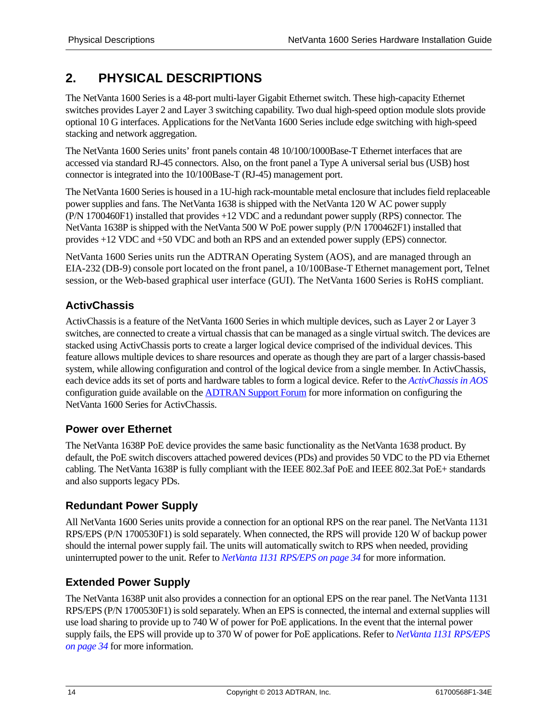# <span id="page-13-0"></span>**2. PHYSICAL DESCRIPTIONS**

The NetVanta 1600 Series is a 48-port multi-layer Gigabit Ethernet switch. These high-capacity Ethernet switches provides Layer 2 and Layer 3 switching capability. Two dual high-speed option module slots provide optional 10 G interfaces. Applications for the NetVanta 1600 Series include edge switching with high-speed stacking and network aggregation.

The NetVanta 1600 Series units' front panels contain 48 10/100/1000Base-T Ethernet interfaces that are accessed via standard RJ-45 connectors. Also, on the front panel a Type A universal serial bus (USB) host connector is integrated into the 10/100Base-T (RJ-45) management port.

The NetVanta 1600 Series is housed in a 1U-high rack-mountable metal enclosure that includes field replaceable power supplies and fans. The NetVanta 1638 is shipped with the NetVanta 120 W AC power supply (P/N 1700460F1) installed that provides +12 VDC and a redundant power supply (RPS) connector. The NetVanta 1638P is shipped with the NetVanta 500 W PoE power supply (P/N 1700462F1) installed that provides +12 VDC and +50 VDC and both an RPS and an extended power supply (EPS) connector.

NetVanta 1600 Series units run the ADTRAN Operating System (AOS), and are managed through an EIA-232 (DB-9) console port located on the front panel, a 10/100Base-T Ethernet management port, Telnet session, or the Web-based graphical user interface (GUI). The NetVanta 1600 Series is RoHS compliant.

# <span id="page-13-1"></span>**ActivChassis**

ActivChassis is a feature of the NetVanta 1600 Series in which multiple devices, such as Layer 2 or Layer 3 switches, are connected to create a virtual chassis that can be managed as a single virtual switch. The devices are stacked using ActivChassis ports to create a larger logical device comprised of the individual devices. This feature allows multiple devices to share resources and operate as though they are part of a larger chassis-based system, while allowing configuration and control of the logical device from a single member. In ActivChassis, each device adds its set of ports and hardware tables to form a logical device. Refer to the *[ActivChassis in AOS](https://supportforums.adtran.com/docs/DOC-5903)*  configuration guide available on the [ADTRAN Support Forum](https://supportforums.adtran.com) for more information on configuring the NetVanta 1600 Series for ActivChassis.

# <span id="page-13-2"></span>**Power over Ethernet**

The NetVanta 1638P PoE device provides the same basic functionality as the NetVanta 1638 product. By default, the PoE switch discovers attached powered devices (PDs) and provides 50 VDC to the PD via Ethernet cabling. The NetVanta 1638P is fully compliant with the IEEE 802.3af PoE and IEEE 802.3at PoE+ standards and also supports legacy PDs.

# <span id="page-13-3"></span>**Redundant Power Supply**

All NetVanta 1600 Series units provide a connection for an optional RPS on the rear panel. The NetVanta 1131 RPS/EPS (P/N 1700530F1) is sold separately. When connected, the RPS will provide 120 W of backup power should the internal power supply fail. The units will automatically switch to RPS when needed, providing uninterrupted power to the unit. Refer to *[NetVanta 1131 RPS/EPS on page 34](#page-33-0)* for more information.

# <span id="page-13-4"></span>**Extended Power Supply**

The NetVanta 1638P unit also provides a connection for an optional EPS on the rear panel. The NetVanta 1131 RPS/EPS (P/N 1700530F1) is sold separately. When an EPS is connected, the internal and external supplies will use load sharing to provide up to 740 W of power for PoE applications. In the event that the internal power supply fails, the EPS will provide up to 370 W of power for PoE applications. Refer to *[NetVanta 1131 RPS/EPS](#page-33-0)  [on page 34](#page-33-0)* for more information.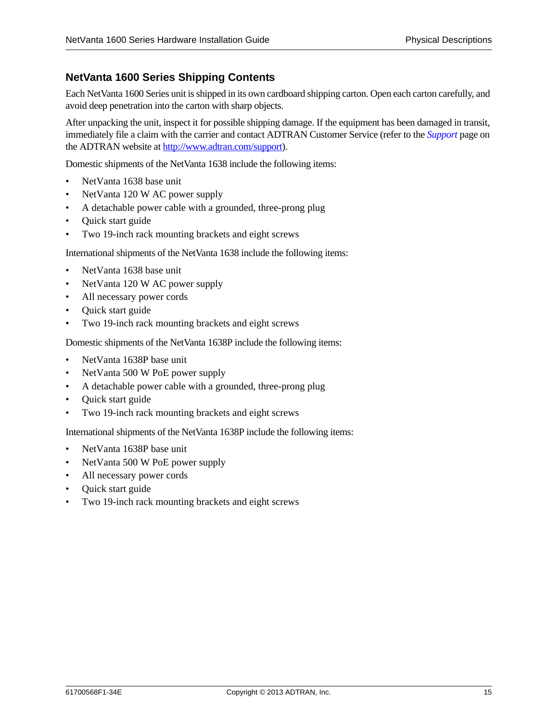## <span id="page-14-0"></span>**NetVanta 1600 Series Shipping Contents**

Each NetVanta 1600 Series unit is shipped in its own cardboard shipping carton. Open each carton carefully, and avoid deep penetration into the carton with sharp objects.

After unpacking the unit, inspect it for possible shipping damage. If the equipment has been damaged in transit, immediately file a claim with the carrier and contact ADTRAN Customer Service (refer to the *Support* [page on](http://www.adtran.com/web/url/support )  [the ADTRAN website at h](http://www.adtran.com/web/url/support )ttp://www.adtran.com/support).

Domestic shipments of the NetVanta 1638 include the following items:

- NetVanta 1638 base unit
- NetVanta 120 W AC power supply
- A detachable power cable with a grounded, three-prong plug
- Quick start guide
- Two 19-inch rack mounting brackets and eight screws

International shipments of the NetVanta 1638 include the following items:

- NetVanta 1638 base unit
- NetVanta 120 W AC power supply
- All necessary power cords
- Quick start guide
- Two 19-inch rack mounting brackets and eight screws

Domestic shipments of the NetVanta 1638P include the following items:

- NetVanta 1638P base unit
- NetVanta 500 W PoE power supply
- A detachable power cable with a grounded, three-prong plug
- Quick start guide
- Two 19-inch rack mounting brackets and eight screws

International shipments of the NetVanta 1638P include the following items:

- NetVanta 1638P base unit
- NetVanta 500 W PoE power supply
- All necessary power cords
- Quick start guide
- Two 19-inch rack mounting brackets and eight screws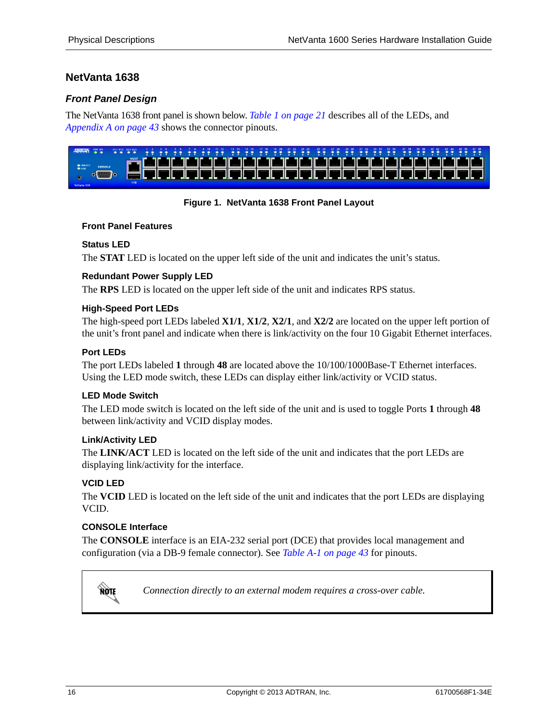# <span id="page-15-0"></span>**NetVanta 1638**

### *Front Panel Design*

The NetVanta 1638 front panel is shown below. *[Table 1 on page 21](#page-20-1)* describes all of the LEDs, and *[Appendix A on page 43](#page-42-4)* shows the connector pinouts.



### **Figure 1. NetVanta 1638 Front Panel Layout**

#### <span id="page-15-1"></span>**Front Panel Features**

#### **Status LED**

The **STAT** LED is located on the upper left side of the unit and indicates the unit's status.

#### **Redundant Power Supply LED**

The **RPS** LED is located on the upper left side of the unit and indicates RPS status.

#### **High-Speed Port LEDs**

The high-speed port LEDs labeled **X1/1**, **X1/2**, **X2/1**, and **X2/2** are located on the upper left portion of the unit's front panel and indicate when there is link/activity on the four 10 Gigabit Ethernet interfaces.

#### **Port LEDs**

The port LEDs labeled **1** through **48** are located above the 10/100/1000Base-T Ethernet interfaces. Using the LED mode switch, these LEDs can display either link/activity or VCID status.

#### **LED Mode Switch**

The LED mode switch is located on the left side of the unit and is used to toggle Ports **1** through **48** between link/activity and VCID display modes.

#### **Link/Activity LED**

The **LINK/ACT** LED is located on the left side of the unit and indicates that the port LEDs are displaying link/activity for the interface.

#### **VCID LED**

**AQIF** 

The **VCID** LED is located on the left side of the unit and indicates that the port LEDs are displaying VCID.

#### **CONSOLE Interface**

The **CONSOLE** interface is an EIA-232 serial port (DCE) that provides local management and configuration (via a DB-9 female connector). See *[Table A-1 on page 43](#page-42-3)* for pinouts.

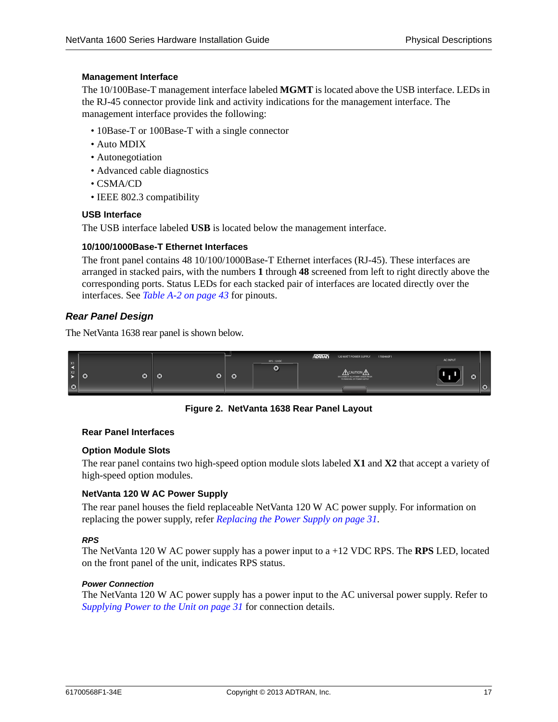#### **Management Interface**

The 10/100Base-T management interface labeled **MGMT** is located above the USB interface. LEDs in the RJ-45 connector provide link and activity indications for the management interface. The management interface provides the following:

- 10Base-T or 100Base-T with a single connector
- Auto MDIX
- Autonegotiation
- Advanced cable diagnostics
- CSMA/CD
- IEEE 802.3 compatibility

#### **USB Interface**

The USB interface labeled **USB** is located below the management interface.

#### **10/100/1000Base-T Ethernet Interfaces**

The front panel contains 48 10/100/1000Base-T Ethernet interfaces (RJ-45). These interfaces are arranged in stacked pairs, with the numbers **1** through **48** screened from left to right directly above the corresponding ports. Status LEDs for each stacked pair of interfaces are located directly over the interfaces. See *[Table A-2 on page 43](#page-42-5)* for pinouts.

#### *Rear Panel Design*

The NetVanta 1638 rear panel is shown below.



**Figure 2. NetVanta 1638 Rear Panel Layout**

#### <span id="page-16-0"></span>**Rear Panel Interfaces**

#### **Option Module Slots**

The rear panel contains two high-speed option module slots labeled **X1** and **X2** that accept a variety of high-speed option modules.

#### **NetVanta 120 W AC Power Supply**

The rear panel houses the field replaceable NetVanta 120 W AC power supply. For information on replacing the power supply, refer *[Replacing the Power Supply on page 31](#page-30-1)*.

#### *RPS*

The NetVanta 120 W AC power supply has a power input to a +12 VDC RPS. The **RPS** LED, located on the front panel of the unit, indicates RPS status.

#### *Power Connection*

The NetVanta 120 W AC power supply has a power input to the AC universal power supply. Refer to *[Supplying Power to the Unit on page 31](#page-30-0)* for connection details.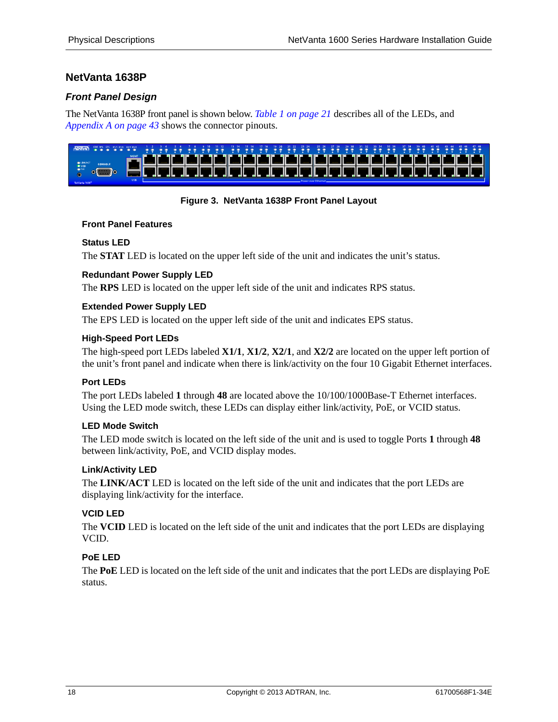# <span id="page-17-0"></span>**NetVanta 1638P**

### *Front Panel Design*

The NetVanta 1638P front panel is shown below. *[Table 1 on page 21](#page-20-1)* describes all of the LEDs, and *[Appendix A on page 43](#page-42-4)* shows the connector pinouts.



#### **Figure 3. NetVanta 1638P Front Panel Layout**

#### <span id="page-17-1"></span>**Front Panel Features**

#### **Status LED**

The **STAT** LED is located on the upper left side of the unit and indicates the unit's status.

#### **Redundant Power Supply LED**

The **RPS** LED is located on the upper left side of the unit and indicates RPS status.

#### **Extended Power Supply LED**

The EPS LED is located on the upper left side of the unit and indicates EPS status.

#### **High-Speed Port LEDs**

The high-speed port LEDs labeled **X1/1**, **X1/2**, **X2/1**, and **X2/2** are located on the upper left portion of the unit's front panel and indicate when there is link/activity on the four 10 Gigabit Ethernet interfaces.

#### **Port LEDs**

The port LEDs labeled **1** through **48** are located above the 10/100/1000Base-T Ethernet interfaces. Using the LED mode switch, these LEDs can display either link/activity, PoE, or VCID status.

#### **LED Mode Switch**

The LED mode switch is located on the left side of the unit and is used to toggle Ports **1** through **48** between link/activity, PoE, and VCID display modes.

#### **Link/Activity LED**

The **LINK/ACT** LED is located on the left side of the unit and indicates that the port LEDs are displaying link/activity for the interface.

#### **VCID LED**

The **VCID** LED is located on the left side of the unit and indicates that the port LEDs are displaying VCID.

#### **PoE LED**

The **PoE** LED is located on the left side of the unit and indicates that the port LEDs are displaying PoE status.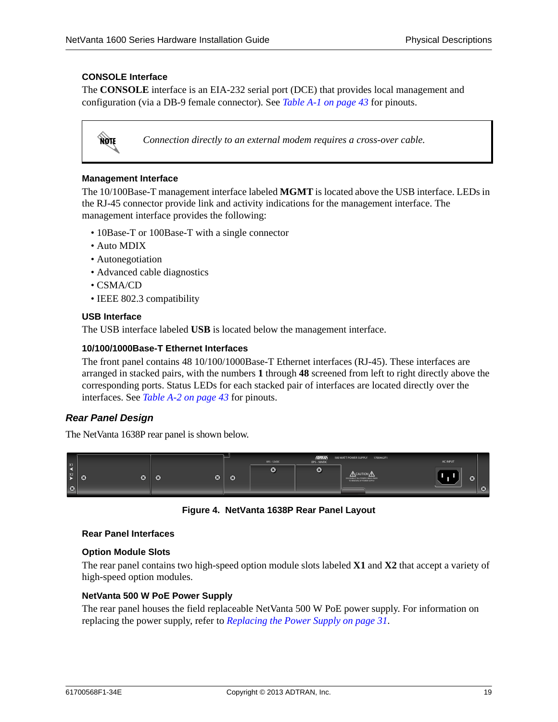#### **CONSOLE Interface**

The **CONSOLE** interface is an EIA-232 serial port (DCE) that provides local management and configuration (via a DB-9 female connector). See *[Table A-1 on page 43](#page-42-3)* for pinouts.



*Connection directly to an external modem requires a cross-over cable.*

#### **Management Interface**

The 10/100Base-T management interface labeled **MGMT** is located above the USB interface. LEDs in the RJ-45 connector provide link and activity indications for the management interface. The management interface provides the following:

- 10Base-T or 100Base-T with a single connector
- Auto MDIX
- Autonegotiation
- Advanced cable diagnostics
- CSMA/CD
- IEEE 802.3 compatibility

#### **USB Interface**

The USB interface labeled **USB** is located below the management interface.

#### **10/100/1000Base-T Ethernet Interfaces**

The front panel contains 48 10/100/1000Base-T Ethernet interfaces (RJ-45). These interfaces are arranged in stacked pairs, with the numbers **1** through **48** screened from left to right directly above the corresponding ports. Status LEDs for each stacked pair of interfaces are located directly over the interfaces. See *[Table A-2 on page 43](#page-42-5)* for pinouts.

#### *Rear Panel Design*

The NetVanta 1638P rear panel is shown below.



**Figure 4. NetVanta 1638P Rear Panel Layout**

#### <span id="page-18-0"></span>**Rear Panel Interfaces**

#### **Option Module Slots**

The rear panel contains two high-speed option module slots labeled **X1** and **X2** that accept a variety of high-speed option modules.

#### **NetVanta 500 W PoE Power Supply**

The rear panel houses the field replaceable NetVanta 500 W PoE power supply. For information on replacing the power supply, refer to *[Replacing the Power Supply on page 31](#page-30-1)*.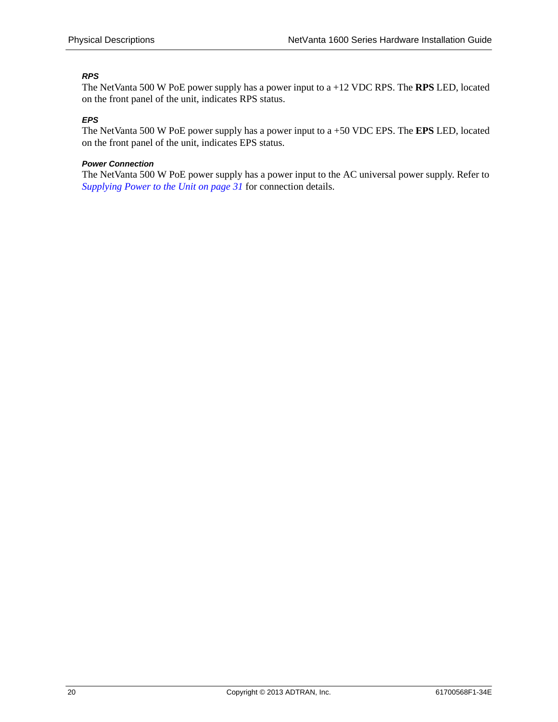### *RPS*

The NetVanta 500 W PoE power supply has a power input to a +12 VDC RPS. The **RPS** LED, located on the front panel of the unit, indicates RPS status.

#### *EPS*

The NetVanta 500 W PoE power supply has a power input to a +50 VDC EPS. The **EPS** LED, located on the front panel of the unit, indicates EPS status.

#### *Power Connection*

The NetVanta 500 W PoE power supply has a power input to the AC universal power supply. Refer to *[Supplying Power to the Unit on page 31](#page-30-0)* for connection details.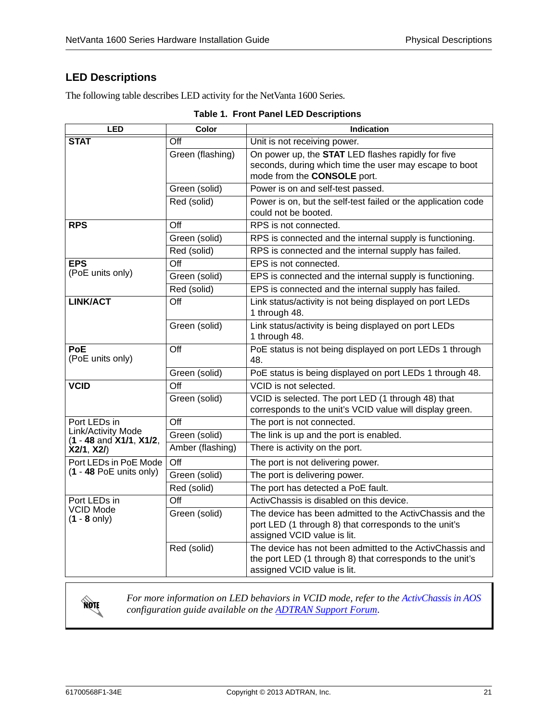# <span id="page-20-0"></span>**LED Descriptions**

The following table describes LED activity for the NetVanta 1600 Series.

<span id="page-20-1"></span>

| <b>LED</b>                                        | Color                   | <b>Indication</b>                                                                                                                                    |
|---------------------------------------------------|-------------------------|------------------------------------------------------------------------------------------------------------------------------------------------------|
| <b>STAT</b>                                       | $\overline{\text{Off}}$ | Unit is not receiving power.                                                                                                                         |
|                                                   | Green (flashing)        | On power up, the <b>STAT</b> LED flashes rapidly for five<br>seconds, during which time the user may escape to boot<br>mode from the CONSOLE port.   |
|                                                   | Green (solid)           | Power is on and self-test passed.                                                                                                                    |
|                                                   | Red (solid)             | Power is on, but the self-test failed or the application code<br>could not be booted.                                                                |
| <b>RPS</b>                                        | $\overline{Off}$        | RPS is not connected.                                                                                                                                |
|                                                   | Green (solid)           | RPS is connected and the internal supply is functioning.                                                                                             |
|                                                   | Red (solid)             | RPS is connected and the internal supply has failed.                                                                                                 |
| <b>EPS</b>                                        | Off                     | EPS is not connected.                                                                                                                                |
| (PoE units only)                                  | Green (solid)           | EPS is connected and the internal supply is functioning.                                                                                             |
|                                                   | Red (solid)             | EPS is connected and the internal supply has failed.                                                                                                 |
| <b>LINK/ACT</b>                                   | Off                     | Link status/activity is not being displayed on port LEDs<br>1 through 48.                                                                            |
|                                                   | Green (solid)           | Link status/activity is being displayed on port LEDs<br>1 through 48.                                                                                |
| <b>PoE</b><br>(PoE units only)                    | Off                     | PoE status is not being displayed on port LEDs 1 through<br>48.                                                                                      |
|                                                   | Green (solid)           | PoE status is being displayed on port LEDs 1 through 48.                                                                                             |
| <b>VCID</b>                                       | Off                     | VCID is not selected.                                                                                                                                |
|                                                   | Green (solid)           | VCID is selected. The port LED (1 through 48) that<br>corresponds to the unit's VCID value will display green.                                       |
| Port LEDs in                                      | Off                     | The port is not connected.                                                                                                                           |
| Link/Activity Mode<br>$(1 - 48$ and $X1/1, X1/2,$ | Green (solid)           | The link is up and the port is enabled.                                                                                                              |
| X2/1, X2/                                         | Amber (flashing)        | There is activity on the port.                                                                                                                       |
| Port LEDs in PoE Mode                             | Off                     | The port is not delivering power.                                                                                                                    |
| $(1 - 48$ PoE units only)                         | Green (solid)           | The port is delivering power.                                                                                                                        |
|                                                   | Red (solid)             | The port has detected a PoE fault.                                                                                                                   |
| Port LEDs in                                      | Off                     | ActivChassis is disabled on this device.                                                                                                             |
| VCID Mode<br>$(1 - 8 \text{ only})$               | Green (solid)           | The device has been admitted to the ActivChassis and the<br>port LED (1 through 8) that corresponds to the unit's<br>assigned VCID value is lit.     |
|                                                   | Red (solid)             | The device has not been admitted to the ActivChassis and<br>the port LED (1 through 8) that corresponds to the unit's<br>assigned VCID value is lit. |

|  | Table 1. Front Panel LED Descriptions |
|--|---------------------------------------|
|  |                                       |



*For more information on LED behaviors in VCID mode, refer to the [ActivChassis in AOS](https://supportforums.adtran.com/docs/DOC-5903)  configuration guide available on the ADTRAN Support Forum*.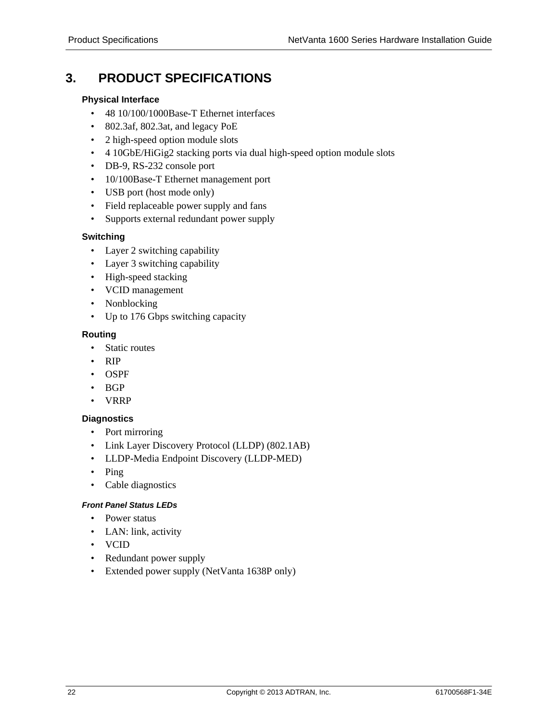# <span id="page-21-0"></span>**3. PRODUCT SPECIFICATIONS**

#### **Physical Interface**

- 48 10/100/1000Base-T Ethernet interfaces
- 802.3af, 802.3at, and legacy PoE
- 2 high-speed option module slots
- 4 10GbE/HiGig2 stacking ports via dual high-speed option module slots
- DB-9, RS-232 console port
- 10/100Base-T Ethernet management port
- USB port (host mode only)
- Field replaceable power supply and fans
- Supports external redundant power supply

### **Switching**

- Layer 2 switching capability
- Layer 3 switching capability
- High-speed stacking
- VCID management
- Nonblocking
- Up to 176 Gbps switching capacity

#### **Routing**

- Static routes
- RIP
- OSPF
- BGP
- VRRP

### **Diagnostics**

- Port mirroring
- Link Layer Discovery Protocol (LLDP) (802.1AB)
- LLDP-Media Endpoint Discovery (LLDP-MED)
- Ping
- Cable diagnostics

#### *Front Panel Status LEDs*

- Power status
- LAN: link, activity
- VCID
- Redundant power supply
- Extended power supply (NetVanta 1638P only)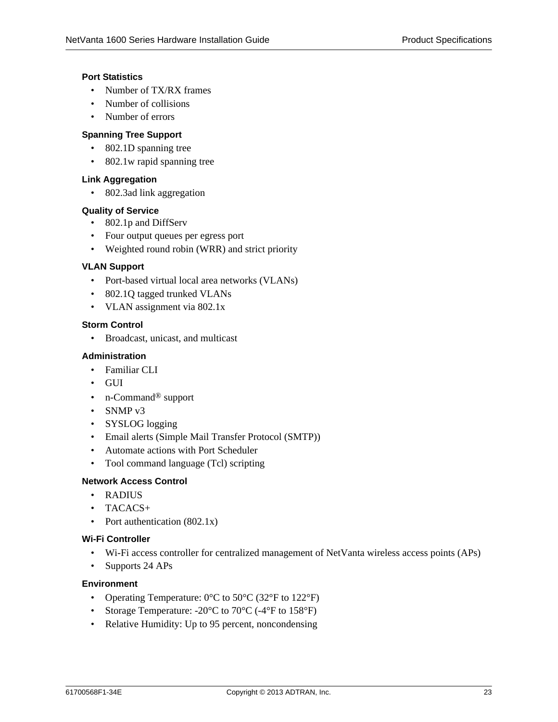#### **Port Statistics**

- Number of TX/RX frames
- Number of collisions
- Number of errors

#### **Spanning Tree Support**

- 802.1D spanning tree
- 802.1w rapid spanning tree

#### **Link Aggregation**

• 802.3ad link aggregation

#### **Quality of Service**

- 802.1p and DiffServ
- Four output queues per egress port
- Weighted round robin (WRR) and strict priority

#### **VLAN Support**

- Port-based virtual local area networks (VLANs)
- 802.1Q tagged trunked VLANs
- VLAN assignment via 802.1x

#### **Storm Control**

• Broadcast, unicast, and multicast

#### **Administration**

- Familiar CLI
- GUI
- n-Command<sup>®</sup> support
- SNMP v3
- SYSLOG logging
- Email alerts (Simple Mail Transfer Protocol (SMTP))
- Automate actions with Port Scheduler
- Tool command language (Tcl) scripting

#### **Network Access Control**

- RADIUS
- TACACS+
- Port authentication (802.1x)

#### **Wi-Fi Controller**

- Wi-Fi access controller for centralized management of NetVanta wireless access points (APs)
- Supports 24 APs

#### **Environment**

- Operating Temperature:  $0^{\circ}$ C to  $50^{\circ}$ C (32 $^{\circ}$ F to 122 $^{\circ}$ F)
- Storage Temperature: -20°C to 70°C (-4°F to 158°F)
- Relative Humidity: Up to 95 percent, noncondensing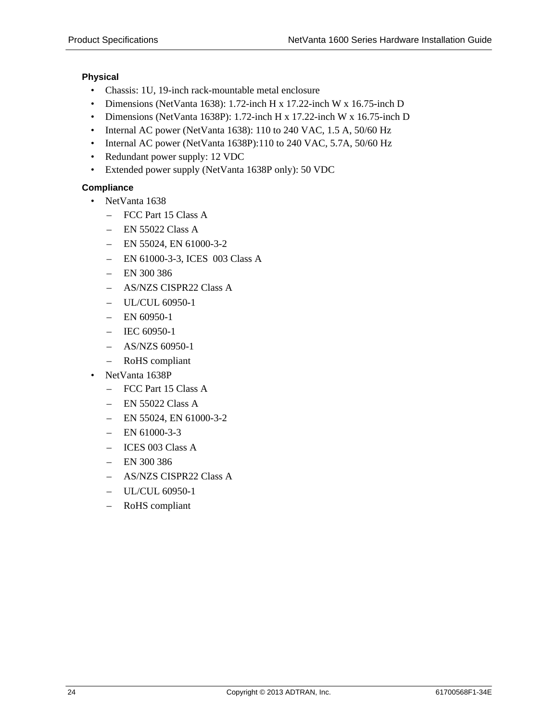### **Physical**

- Chassis: 1U, 19-inch rack-mountable metal enclosure
- Dimensions (NetVanta 1638): 1.72-inch H x 17.22-inch W x 16.75-inch D
- Dimensions (NetVanta 1638P): 1.72-inch H x 17.22-inch W x 16.75-inch D
- Internal AC power (NetVanta 1638): 110 to 240 VAC, 1.5 A, 50/60 Hz
- Internal AC power (NetVanta 1638P):110 to 240 VAC, 5.7A, 50/60 Hz
- Redundant power supply: 12 VDC
- Extended power supply (NetVanta 1638P only): 50 VDC

### **Compliance**

- NetVanta 1638
	- FCC Part 15 Class A
	- $-$  EN 55022 Class A
	- $-$  EN 55024, EN 61000-3-2
	- EN 61000-3-3, ICES 003 Class A
	- EN 300 386
	- AS/NZS CISPR22 Class A
	- UL/CUL 60950-1
	- $-$  EN 60950-1
	- IEC 60950-1
	- AS/NZS 60950-1
	- RoHS compliant
- NetVanta 1638P
	- FCC Part 15 Class A
	- EN 55022 Class A
	- $-$  EN 55024, EN 61000-3-2
	- $-$  EN 61000-3-3
	- ICES 003 Class A
	- EN 300 386
	- AS/NZS CISPR22 Class A
	- UL/CUL 60950-1
	- RoHS compliant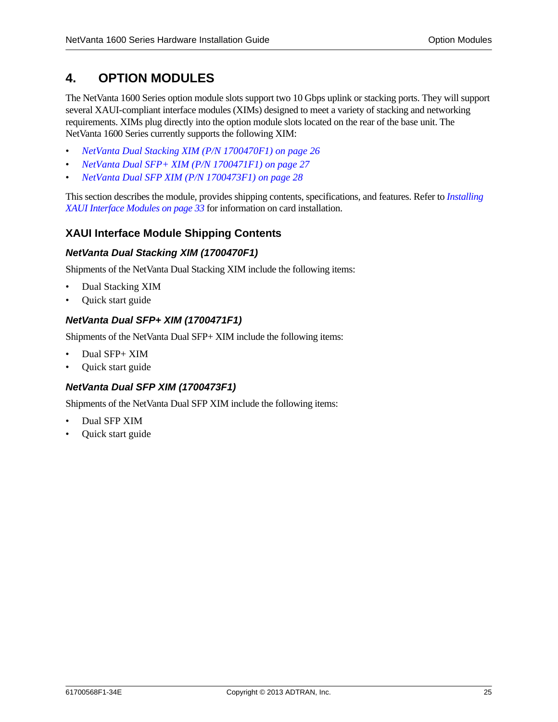# <span id="page-24-0"></span>**4. OPTION MODULES**

The NetVanta 1600 Series option module slots support two 10 Gbps uplink or stacking ports. They will support several XAUI-compliant interface modules (XIMs) designed to meet a variety of stacking and networking requirements. XIMs plug directly into the option module slots located on the rear of the base unit. The NetVanta 1600 Series currently supports the following XIM:

- *[NetVanta Dual Stacking XIM \(P/N 1700470F1\) on page 26](#page-25-2)*
- *[NetVanta Dual SFP+ XIM \(P/N 1700471F1\) on page 27](#page-26-1)*
- *[NetVanta Dual SFP XIM \(P/N 1700473F1\) on page 28](#page-27-1)*

This section describes the module, provides shipping contents, specifications, and features. Refer to *[Installing](#page-32-0)  [XAUI Interface Modules on page 33](#page-32-0)* for information on card installation.

### <span id="page-24-1"></span>**XAUI Interface Module Shipping Contents**

#### *NetVanta Dual Stacking XIM (1700470F1)*

Shipments of the NetVanta Dual Stacking XIM include the following items:

- Dual Stacking XIM
- Quick start guide

#### *NetVanta Dual SFP+ XIM (1700471F1)*

Shipments of the NetVanta Dual SFP+ XIM include the following items:

- Dual SFP+ XIM
- Quick start guide

### *NetVanta Dual SFP XIM (1700473F1)*

Shipments of the NetVanta Dual SFP XIM include the following items:

- Dual SFP XIM
- Quick start guide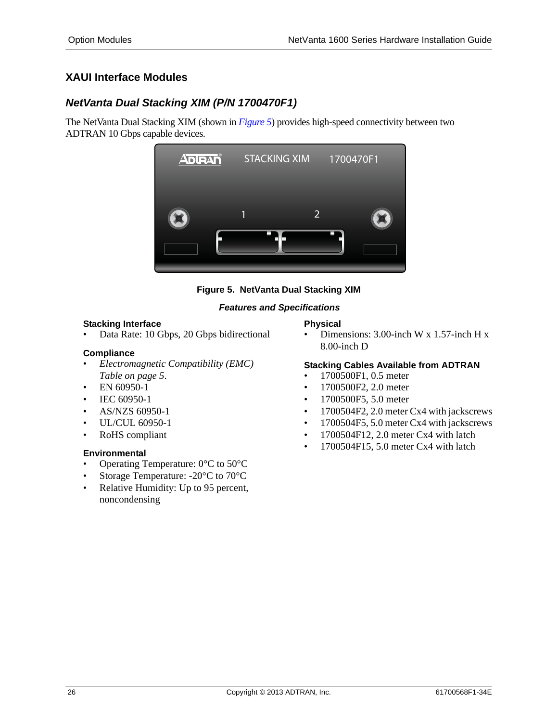# <span id="page-25-0"></span>**XAUI Interface Modules**

# <span id="page-25-2"></span>*NetVanta Dual Stacking XIM (P/N 1700470F1)*

The NetVanta Dual Stacking XIM (shown in *[Figure 5](#page-25-1)*) provides high-speed connectivity between two ADTRAN 10 Gbps capable devices.





#### *Features and Specifications*

#### <span id="page-25-1"></span>**Stacking Interface**

• Data Rate: 10 Gbps, 20 Gbps bidirectional

#### **Compliance**

- *[Electromagnetic Compatibility \(EMC\)](#page-4-0)  [Table on page 5](#page-4-0)*.
- EN 60950-1
- IEC 60950-1
- AS/NZS 60950-1
- UL/CUL 60950-1
- RoHS compliant

#### **Environmental**

- Operating Temperature:  $0^{\circ}$ C to  $50^{\circ}$ C
- Storage Temperature: -20°C to 70°C
- Relative Humidity: Up to 95 percent, noncondensing

#### **Physical**

• Dimensions: 3.00-inch W x 1.57-inch H x 8.00-inch D

### **Stacking Cables Available from ADTRAN**

- 1700500F1, 0.5 meter
- 1700500F2, 2.0 meter
- 1700500F5, 5.0 meter
- 1700504F2, 2.0 meter Cx4 with jackscrews
- 1700504F5, 5.0 meter Cx4 with jackscrews
- 1700504F12, 2.0 meter Cx4 with latch
- 1700504F15, 5.0 meter Cx4 with latch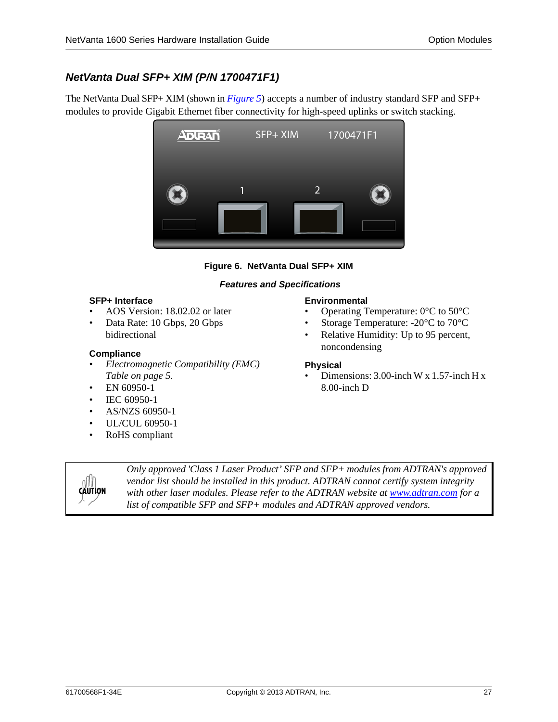# <span id="page-26-1"></span>*NetVanta Dual SFP+ XIM (P/N 1700471F1)*

The NetVanta Dual SFP+ XIM (shown in *[Figure 5](#page-25-1)*) accepts a number of industry standard SFP and SFP+ modules to provide Gigabit Ethernet fiber connectivity for high-speed uplinks or switch stacking.



#### **Figure 6. NetVanta Dual SFP+ XIM**

#### *Features and Specifications*

#### <span id="page-26-0"></span>**SFP+ Interface**

- AOS Version: 18.02.02 or later
- Data Rate: 10 Gbps, 20 Gbps bidirectional

#### **Compliance**

- *[Electromagnetic Compatibility \(EMC\)](#page-4-0)  [Table on page 5](#page-4-0)*.
- EN 60950-1
- IEC 60950-1
- AS/NZS 60950-1
- UL/CUL 60950-1
- RoHS compliant



- Operating Temperature: 0°C to 50°C
- Storage Temperature: -20°C to 70°C
- Relative Humidity: Up to 95 percent, noncondensing

#### **Physical**

• Dimensions:  $3.00$ -inch W x 1.57-inch H x 8.00-inch D



*[Only approved 'Class 1 Laser Product' SFP and SFP+ modules from ADTRAN's approved](http://www.adtran.com)  vendor list should be installed in this product. ADTRAN cannot certify system integrity [with other laser modules. Please refer to the ADTRAN website at w](http://www.adtran.com)ww.adtran.com for a list of compatible SFP and SFP+ modules and ADTRAN approved vendors.*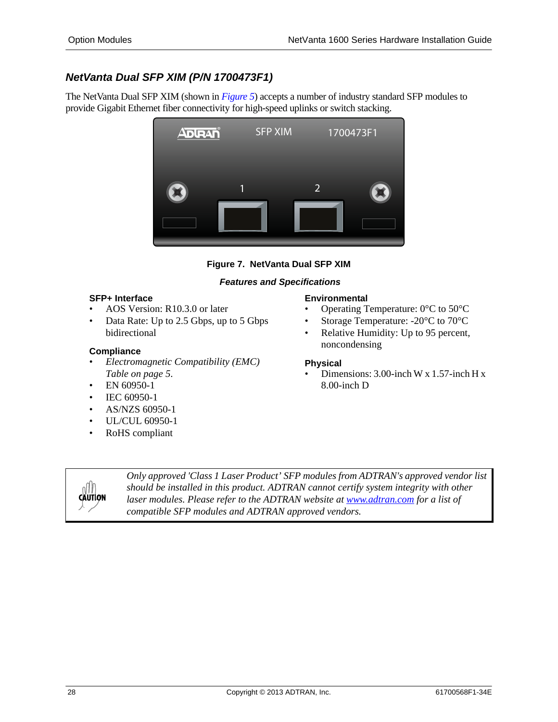# <span id="page-27-1"></span>*NetVanta Dual SFP XIM (P/N 1700473F1)*

The NetVanta Dual SFP XIM (shown in *[Figure 5](#page-25-1)*) accepts a number of industry standard SFP modules to provide Gigabit Ethernet fiber connectivity for high-speed uplinks or switch stacking.



## **Figure 7. NetVanta Dual SFP XIM**

### *Features and Specifications*

#### <span id="page-27-0"></span>**SFP+ Interface**

- AOS Version: R10.3.0 or later
- Data Rate: Up to 2.5 Gbps, up to 5 Gbps bidirectional

### **Compliance**

- *[Electromagnetic Compatibility \(EMC\)](#page-4-0)  [Table on page 5](#page-4-0)*.
- EN 60950-1
- IEC 60950-1
- AS/NZS 60950-1
- UL/CUL 60950-1
- RoHS compliant

#### **Environmental**

- Operating Temperature:  $0^{\circ}$ C to 50 $^{\circ}$ C
- Storage Temperature: -20°C to 70°C
- Relative Humidity: Up to 95 percent, noncondensing

#### **Physical**

• Dimensions: 3.00-inch W x 1.57-inch H x 8.00-inch D



*[Only approved 'Class 1 Laser Product' SFP modules from ADTRAN's approved vendor list](http://www.adtran.com)  should be installed in this product. ADTRAN cannot certify system integrity with other*  [laser modules. Please refer to the ADTRAN website at](http://www.adtran.com) *www.adtran.com* for a list of *compatible SFP modules and ADTRAN approved vendors.*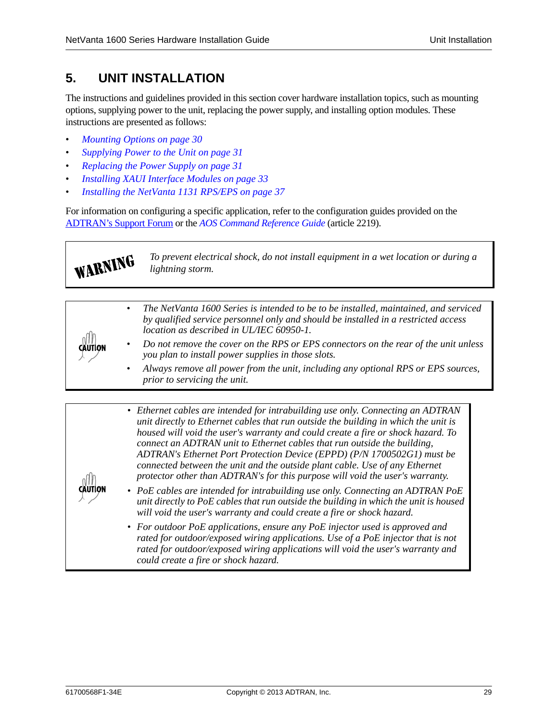# <span id="page-28-0"></span>**5. UNIT INSTALLATION**

The instructions and guidelines provided in this section cover hardware installation topics, such as mounting options, supplying power to the unit, replacing the power supply, and installing option modules. These instructions are presented as follows:

- *[Mounting Options on page 30](#page-29-1)*
- *[Supplying Power to the Unit on page 31](#page-30-0)*
- *[Replacing the Power Supply on page 31](#page-30-1)*
- *[Installing XAUI Interface Modules on page 33](#page-32-0)*
- *[Installing the NetVanta 1131 RPS/EPS on page 37](#page-36-0)*

For information on configuring a specific application, refer to the configuration guides provided on the [ADTRAN's Support Forum](http://supportforums.adtran.com) or the *[AOS Command Reference Guide](https://supportforums.adtran.com/docs/DOC-2011)* (article 2219).

WARNING *To prevent electrical shock, do not install equipment in a wet location or during a lightning storm.*

| CAUTION |           | The NetVanta 1600 Series is intended to be to be installed, maintained, and serviced<br>by qualified service personnel only and should be installed in a restricted access<br>location as described in UL/IEC 60950-1. |
|---------|-----------|------------------------------------------------------------------------------------------------------------------------------------------------------------------------------------------------------------------------|
|         |           | Do not remove the cover on the RPS or EPS connectors on the rear of the unit unless<br>you plan to install power supplies in those slots.                                                                              |
|         | $\bullet$ | Always remove all power from the unit, including any optional RPS or EPS sources,<br>prior to servicing the unit.                                                                                                      |

| • Ethernet cables are intended for intrabuilding use only. Connecting an ADTRAN     |
|-------------------------------------------------------------------------------------|
| unit directly to Ethernet cables that run outside the building in which the unit is |
| housed will void the user's warranty and could create a fire or shock hazard. To    |
| connect an ADTRAN unit to Ethernet cables that run outside the building,            |
| ADTRAN's Ethernet Port Protection Device (EPPD) (P/N 1700502G1) must be             |
| connected between the unit and the outside plant cable. Use of any Ethernet         |
| protector other than ADTRAN's for this purpose will void the user's warranty.       |

*• PoE cables are intended for intrabuilding use only. Connecting an ADTRAN PoE unit directly to PoE cables that run outside the building in which the unit is housed will void the user's warranty and could create a fire or shock hazard.* 

*• For outdoor PoE applications, ensure any PoE injector used is approved and rated for outdoor/exposed wiring applications. Use of a PoE injector that is not rated for outdoor/exposed wiring applications will void the user's warranty and could create a fire or shock hazard.*

**CĂUTION**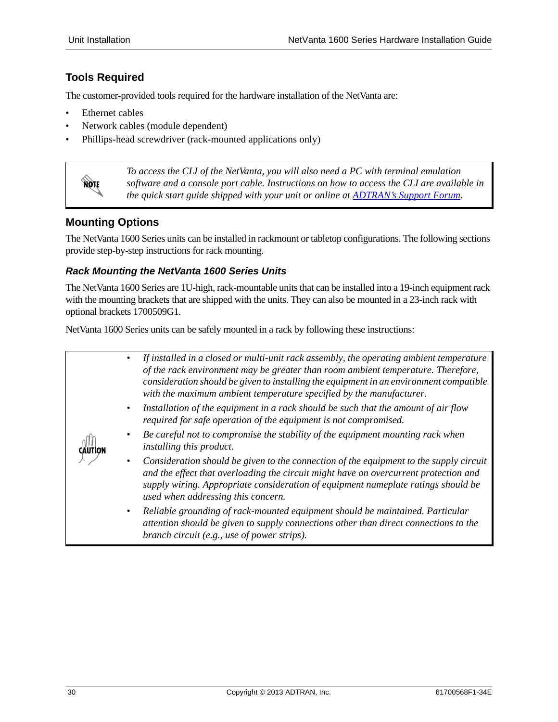# <span id="page-29-0"></span>**Tools Required**

The customer-provided tools required for the hardware installation of the NetVanta are:

- Ethernet cables
- Network cables (module dependent)
- Phillips-head screwdriver (rack-mounted applications only)



*To access the CLI of the NetVanta, you will also need a PC with terminal emulation software and a console port cable. Instructions on how to access the CLI are available in the quick start guide shipped with your unit or online at [ADTRAN's Support Forum](http://supportforums.adtran.com).*

## <span id="page-29-1"></span>**Mounting Options**

The NetVanta 1600 Series units can be installed in rackmount or tabletop configurations. The following sections provide step-by-step instructions for rack mounting.

### *Rack Mounting the NetVanta 1600 Series Units*

The NetVanta 1600 Series are 1U-high, rack-mountable units that can be installed into a 19-inch equipment rack with the mounting brackets that are shipped with the units. They can also be mounted in a 23-inch rack with optional brackets 1700509G1.

NetVanta 1600 Series units can be safely mounted in a rack by following these instructions:

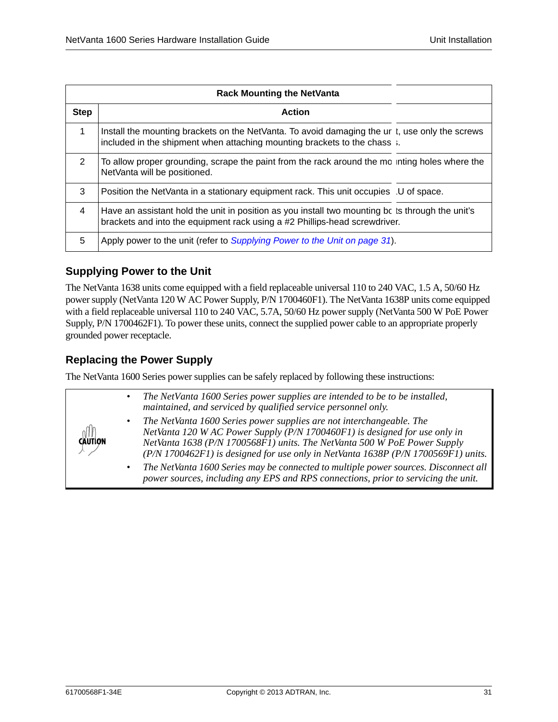|                | <b>Rack Mounting the NetVanta</b>                                                                                                                                              |  |
|----------------|--------------------------------------------------------------------------------------------------------------------------------------------------------------------------------|--|
| <b>Step</b>    | <b>Action</b>                                                                                                                                                                  |  |
| $\mathbf 1$    | Install the mounting brackets on the NetVanta. To avoid damaging the ur t, use only the screws<br>included in the shipment when attaching mounting brackets to the chass :.    |  |
| $\mathcal{P}$  | To allow proper grounding, scrape the paint from the rack around the mc inting holes where the<br>NetVanta will be positioned.                                                 |  |
| 3              | Position the NetVanta in a stationary equipment rack. This unit occupies U of space.                                                                                           |  |
| $\overline{4}$ | Have an assistant hold the unit in position as you install two mounting be ts through the unit's<br>brackets and into the equipment rack using a #2 Phillips-head screwdriver. |  |
| 5              | Apply power to the unit (refer to Supplying Power to the Unit on page 31).                                                                                                     |  |

## <span id="page-30-0"></span>**Supplying Power to the Unit**

The NetVanta 1638 units come equipped with a field replaceable universal 110 to 240 VAC, 1.5 A, 50/60 Hz power supply (NetVanta 120 W AC Power Supply, P/N 1700460F1). The NetVanta 1638P units come equipped with a field replaceable universal 110 to 240 VAC, 5.7A, 50/60 Hz power supply (NetVanta 500 W PoE Power Supply, P/N 1700462F1). To power these units, connect the supplied power cable to an appropriate properly grounded power receptacle.

# <span id="page-30-1"></span>**Replacing the Power Supply**

The NetVanta 1600 Series power supplies can be safely replaced by following these instructions:

| $\frac{1}{2}$ | The NetVanta 1600 Series power supplies are intended to be to be installed,<br>maintained, and serviced by qualified service personnel only.<br>The NetVanta 1600 Series power supplies are not interchangeable. The<br>NetVanta 120 W AC Power Supply (P/N 1700460F1) is designed for use only in<br>NetVanta 1638 (P/N 1700568F1) units. The NetVanta 500 W PoE Power Supply<br>$(P/N 1700462F1)$ is designed for use only in NetVanta 1638P $(P/N 1700569F1)$ units.<br>The NetVanta 1600 Series may be connected to multiple power sources. Disconnect all<br>$\bullet$<br>power sources, including any EPS and RPS connections, prior to servicing the unit. |
|---------------|-------------------------------------------------------------------------------------------------------------------------------------------------------------------------------------------------------------------------------------------------------------------------------------------------------------------------------------------------------------------------------------------------------------------------------------------------------------------------------------------------------------------------------------------------------------------------------------------------------------------------------------------------------------------|
|               |                                                                                                                                                                                                                                                                                                                                                                                                                                                                                                                                                                                                                                                                   |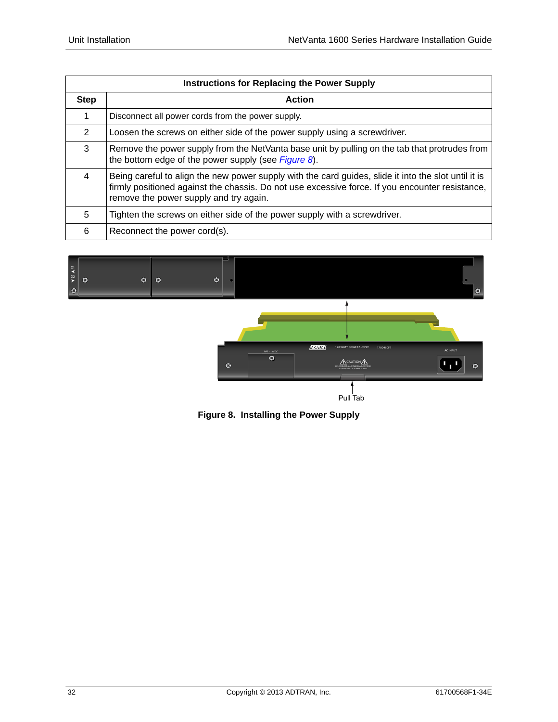| <b>Instructions for Replacing the Power Supply</b> |                                                                                                                                                                                                                                                   |  |
|----------------------------------------------------|---------------------------------------------------------------------------------------------------------------------------------------------------------------------------------------------------------------------------------------------------|--|
| <b>Step</b>                                        | <b>Action</b>                                                                                                                                                                                                                                     |  |
| 1                                                  | Disconnect all power cords from the power supply.                                                                                                                                                                                                 |  |
| 2                                                  | Loosen the screws on either side of the power supply using a screwdriver.                                                                                                                                                                         |  |
| 3                                                  | Remove the power supply from the NetVanta base unit by pulling on the tab that protrudes from<br>the bottom edge of the power supply (see Figure 8).                                                                                              |  |
| 4                                                  | Being careful to align the new power supply with the card guides, slide it into the slot until it is<br>firmly positioned against the chassis. Do not use excessive force. If you encounter resistance,<br>remove the power supply and try again. |  |
| 5                                                  | Tighten the screws on either side of the power supply with a screwdriver.                                                                                                                                                                         |  |
| 6                                                  | Reconnect the power cord(s).                                                                                                                                                                                                                      |  |



Pull Tab

<span id="page-31-0"></span>**Figure 8. Installing the Power Supply**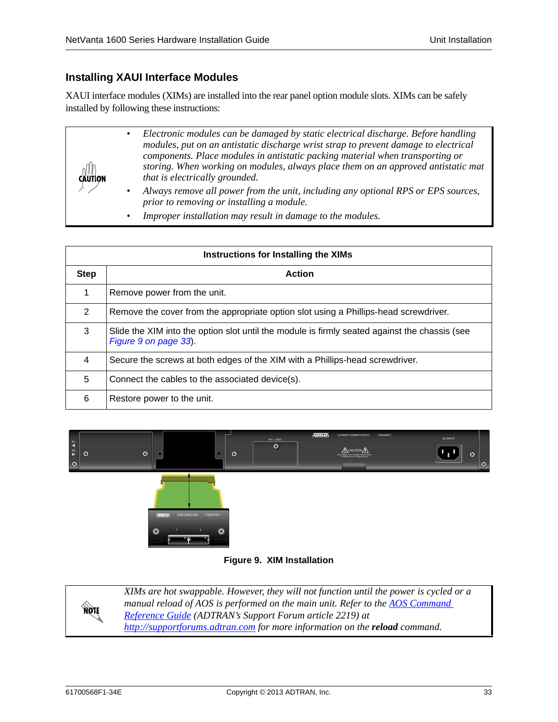## <span id="page-32-0"></span>**Installing XAUI Interface Modules**

XAUI interface modules (XIMs) are installed into the rear panel option module slots. XIMs can be safely installed by following these instructions:

| <b>CAUTION</b> | Electronic modules can be damaged by static electrical discharge. Before handling<br>modules, put on an antistatic discharge wrist strap to prevent damage to electrical<br>components. Place modules in antistatic packing material when transporting or<br>storing. When working on modules, always place them on an approved antistatic mat<br>that is electrically grounded. |
|----------------|----------------------------------------------------------------------------------------------------------------------------------------------------------------------------------------------------------------------------------------------------------------------------------------------------------------------------------------------------------------------------------|
|                | Always remove all power from the unit, including any optional RPS or EPS sources,<br>prior to removing or installing a module.                                                                                                                                                                                                                                                   |
|                | Improper installation may result in damage to the modules.                                                                                                                                                                                                                                                                                                                       |

| Instructions for Installing the XIMs |                                                                                                                        |  |  |
|--------------------------------------|------------------------------------------------------------------------------------------------------------------------|--|--|
| <b>Step</b>                          | <b>Action</b>                                                                                                          |  |  |
| 1                                    | Remove power from the unit.                                                                                            |  |  |
| 2                                    | Remove the cover from the appropriate option slot using a Phillips-head screwdriver.                                   |  |  |
| 3                                    | Slide the XIM into the option slot until the module is firmly seated against the chassis (see<br>Figure 9 on page 33). |  |  |
| 4                                    | Secure the screws at both edges of the XIM with a Phillips-head screwdriver.                                           |  |  |
| 5                                    | Connect the cables to the associated device(s).                                                                        |  |  |
| 6                                    | Restore power to the unit.                                                                                             |  |  |



#### **Figure 9. XIM Installation**

<span id="page-32-1"></span>

*[XIMs are hot swappable. However, they will not function until the power is cycled or a](https://supportforums.adtran.com/docs/DOC-2011)  [manual reload of AOS is performed on the main unit. Refer to the](https://supportforums.adtran.com/docs/DOC-2011) <i>AOS Command Reference Guide (ADTRAN's Support Forum article 2219) at <http://supportforums.adtran.com> for more information on the reload command.*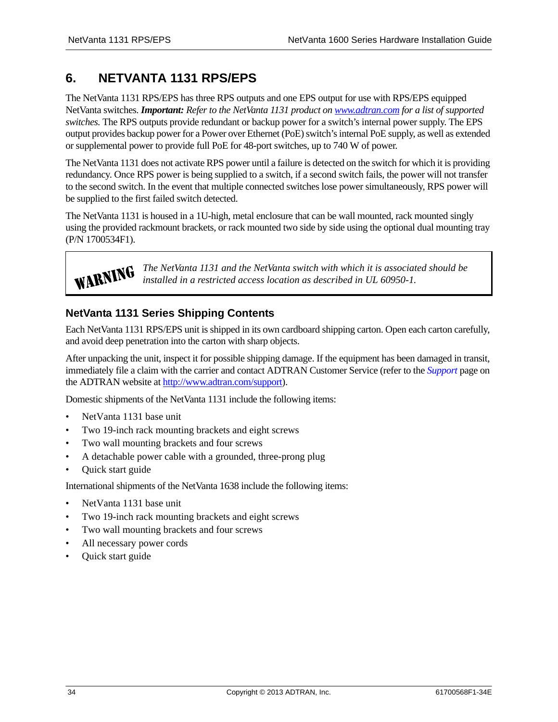# <span id="page-33-0"></span>**6. NETVANTA 1131 RPS/EPS**

The NetVanta 1131 RPS/EPS has three RPS outputs and one EPS output for use with RPS/EPS equipped NetVanta switches. *Important: Refer to the NetVanta 1131 product on [www.adtran.com](http://www.adtran.com) for a list of supported switches.* The RPS outputs provide redundant or backup power for a switch's internal power supply. The EPS output provides backup power for a Power over Ethernet (PoE) switch's internal PoE supply, as well as extended or supplemental power to provide full PoE for 48-port switches, up to 740 W of power.

The NetVanta 1131 does not activate RPS power until a failure is detected on the switch for which it is providing redundancy. Once RPS power is being supplied to a switch, if a second switch fails, the power will not transfer to the second switch. In the event that multiple connected switches lose power simultaneously, RPS power will be supplied to the first failed switch detected.

The NetVanta 1131 is housed in a 1U-high, metal enclosure that can be wall mounted, rack mounted singly using the provided rackmount brackets, or rack mounted two side by side using the optional dual mounting tray (P/N 1700534F1).



*The NetVanta 1131 and the NetVanta switch with which it is associated should be installed in a restricted access location as described in UL 60950-1.*

# <span id="page-33-1"></span>**NetVanta 1131 Series Shipping Contents**

Each NetVanta 1131 RPS/EPS unit is shipped in its own cardboard shipping carton. Open each carton carefully, and avoid deep penetration into the carton with sharp objects.

After unpacking the unit, inspect it for possible shipping damage. If the equipment has been damaged in transit, immediately file a claim with the carrier and contact ADTRAN Customer Service (refer to the *Support* [page on](http://www.adtran.com/web/url/support )  [the ADTRAN website at h](http://www.adtran.com/web/url/support )ttp://www.adtran.com/support).

Domestic shipments of the NetVanta 1131 include the following items:

- NetVanta 1131 base unit
- Two 19-inch rack mounting brackets and eight screws
- Two wall mounting brackets and four screws
- A detachable power cable with a grounded, three-prong plug
- Quick start guide

International shipments of the NetVanta 1638 include the following items:

- NetVanta 1131 base unit
- Two 19-inch rack mounting brackets and eight screws
- Two wall mounting brackets and four screws
- All necessary power cords
- Quick start guide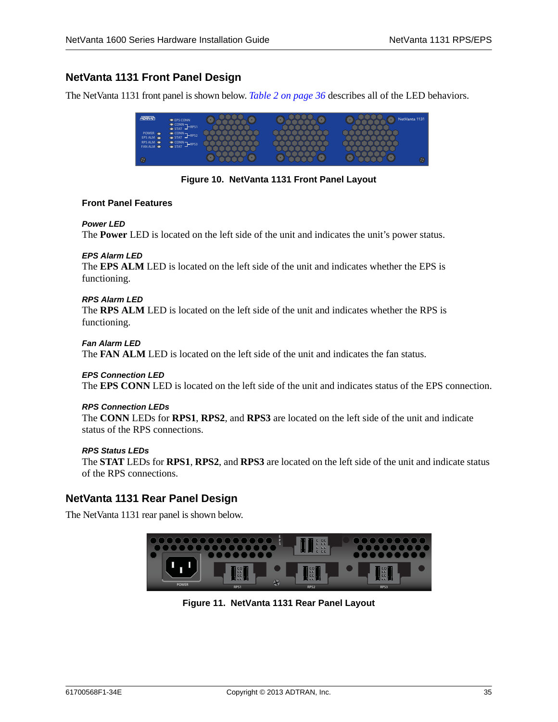# <span id="page-34-0"></span>**NetVanta 1131 Front Panel Design**

The NetVanta 1131 front panel is shown below. *[Table 2 on page 36](#page-35-1)* describes all of the LED behaviors.

|                                 | <b>EPS CONN</b><br>CONN <sub>IRPS1</sub> |  | NetVanta 1131 |
|---------------------------------|------------------------------------------|--|---------------|
| POWER <b>OD</b><br>EPS ALM      | CONN PRPS2                               |  |               |
| RPS ALM <sup>O</sup><br>FAN ALM | CONN <sub>I</sub> -RPS3                  |  |               |
| $\circledB$                     |                                          |  | $\circledast$ |

**Figure 10. NetVanta 1131 Front Panel Layout**

#### <span id="page-34-2"></span>**Front Panel Features**

#### *Power LED*

The **Power** LED is located on the left side of the unit and indicates the unit's power status.

#### *EPS Alarm LED*

The **EPS ALM** LED is located on the left side of the unit and indicates whether the EPS is functioning.

#### *RPS Alarm LED*

The **RPS ALM** LED is located on the left side of the unit and indicates whether the RPS is functioning.

#### *Fan Alarm LED*

The **FAN ALM** LED is located on the left side of the unit and indicates the fan status.

#### *EPS Connection LED*

The **EPS CONN** LED is located on the left side of the unit and indicates status of the EPS connection.

#### *RPS Connection LEDs*

The **CONN** LEDs for **RPS1**, **RPS2**, and **RPS3** are located on the left side of the unit and indicate status of the RPS connections.

#### *RPS Status LEDs*

The **STAT** LEDs for **RPS1**, **RPS2**, and **RPS3** are located on the left side of the unit and indicate status of the RPS connections.

### <span id="page-34-1"></span>**NetVanta 1131 Rear Panel Design**

<span id="page-34-3"></span>The NetVanta 1131 rear panel is shown below.



**Figure 11. NetVanta 1131 Rear Panel Layout**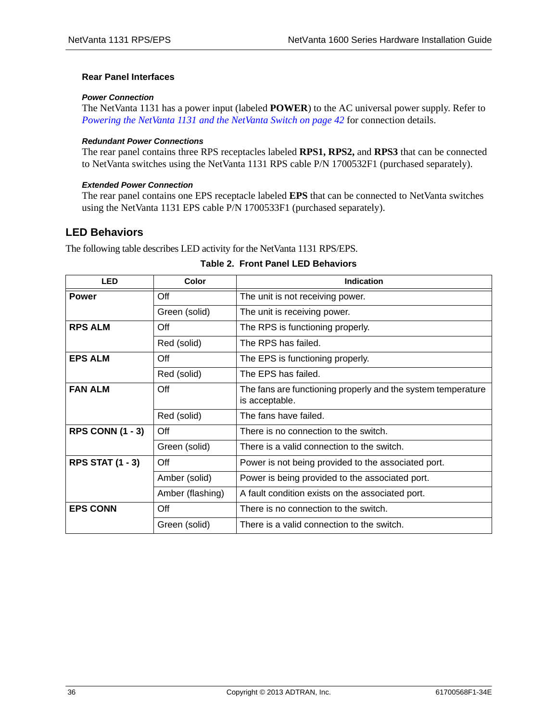#### **Rear Panel Interfaces**

#### *Power Connection*

The NetVanta 1131 has a power input (labeled **POWER**) to the AC universal power supply. Refer to *[Powering the NetVanta 1131 and the NetVanta Switch on page 42](#page-41-0)* for connection details.

#### *Redundant Power Connections*

The rear panel contains three RPS receptacles labeled **RPS1, RPS2,** and **RPS3** that can be connected to NetVanta switches using the NetVanta 1131 RPS cable P/N 1700532F1 (purchased separately).

#### *Extended Power Connection*

The rear panel contains one EPS receptacle labeled **EPS** that can be connected to NetVanta switches using the NetVanta 1131 EPS cable P/N 1700533F1 (purchased separately).

### <span id="page-35-0"></span>**LED Behaviors**

<span id="page-35-1"></span>The following table describes LED activity for the NetVanta 1131 RPS/EPS.

| <b>LED</b>              | Color            | <b>Indication</b>                                                              |
|-------------------------|------------------|--------------------------------------------------------------------------------|
| <b>Power</b>            | Off              | The unit is not receiving power.                                               |
|                         | Green (solid)    | The unit is receiving power.                                                   |
| <b>RPS ALM</b>          | Off              | The RPS is functioning properly.                                               |
|                         | Red (solid)      | The RPS has failed.                                                            |
| <b>EPS ALM</b>          | Off              | The EPS is functioning properly.                                               |
|                         | Red (solid)      | The EPS has failed.                                                            |
| <b>FAN ALM</b>          | Off              | The fans are functioning properly and the system temperature<br>is acceptable. |
|                         | Red (solid)      | The fans have failed.                                                          |
| <b>RPS CONN (1 - 3)</b> | Off              | There is no connection to the switch.                                          |
|                         | Green (solid)    | There is a valid connection to the switch.                                     |
| <b>RPS STAT (1 - 3)</b> | Off              | Power is not being provided to the associated port.                            |
|                         | Amber (solid)    | Power is being provided to the associated port.                                |
|                         | Amber (flashing) | A fault condition exists on the associated port.                               |
| <b>EPS CONN</b>         | Off              | There is no connection to the switch.                                          |
|                         | Green (solid)    | There is a valid connection to the switch.                                     |

#### **Table 2. Front Panel LED Behaviors**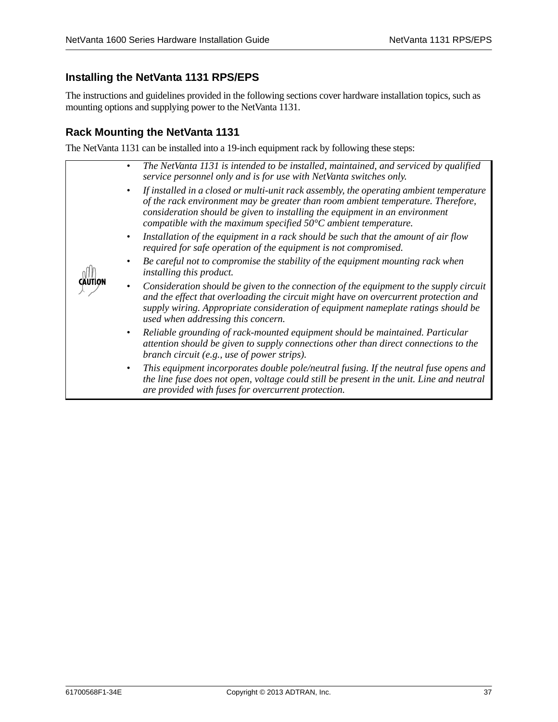# <span id="page-36-0"></span>**Installing the NetVanta 1131 RPS/EPS**

The instructions and guidelines provided in the following sections cover hardware installation topics, such as mounting options and supplying power to the NetVanta 1131.

# <span id="page-36-1"></span>**Rack Mounting the NetVanta 1131**

The NetVanta 1131 can be installed into a 19-inch equipment rack by following these steps:

|  | The NetVanta 1131 is intended to be installed, maintained, and serviced by qualified<br>$\bullet$<br>service personnel only and is for use with NetVanta switches only.                                                                                                                                                                 |
|--|-----------------------------------------------------------------------------------------------------------------------------------------------------------------------------------------------------------------------------------------------------------------------------------------------------------------------------------------|
|  | If installed in a closed or multi-unit rack assembly, the operating ambient temperature<br>of the rack environment may be greater than room ambient temperature. Therefore,<br>consideration should be given to installing the equipment in an environment<br>compatible with the maximum specified $50^{\circ}$ C ambient temperature. |
|  | Installation of the equipment in a rack should be such that the amount of air flow<br>$\bullet$<br>required for safe operation of the equipment is not compromised.                                                                                                                                                                     |
|  | Be careful not to compromise the stability of the equipment mounting rack when<br><i>installing this product.</i>                                                                                                                                                                                                                       |
|  | Consideration should be given to the connection of the equipment to the supply circuit<br>$\bullet$<br>and the effect that overloading the circuit might have on overcurrent protection and<br>supply wiring. Appropriate consideration of equipment nameplate ratings should be<br>used when addressing this concern.                  |
|  | Reliable grounding of rack-mounted equipment should be maintained. Particular<br>$\bullet$<br>attention should be given to supply connections other than direct connections to the<br>branch circuit (e.g., use of power strips).                                                                                                       |
|  | This equipment incorporates double pole/neutral fusing. If the neutral fuse opens and<br>the line fuse does not open, voltage could still be present in the unit. Line and neutral<br>are provided with fuses for overcurrent protection.                                                                                               |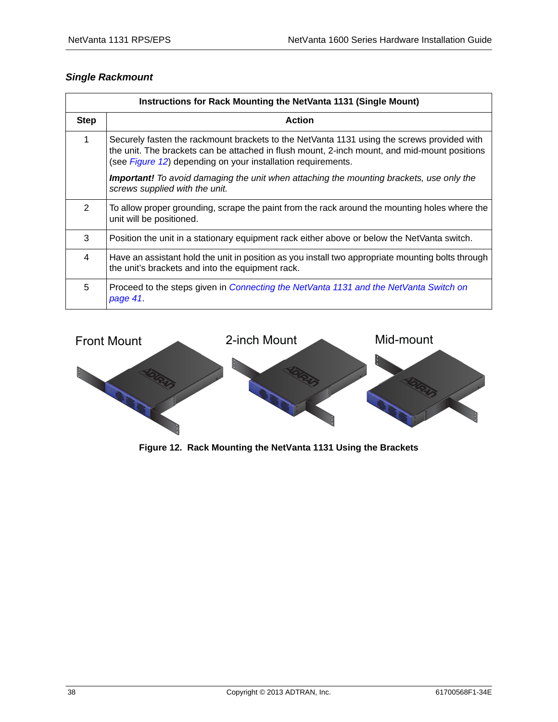# *Single Rackmount*

| Instructions for Rack Mounting the NetVanta 1131 (Single Mount) |                                                                                                                                                                                                                                                                    |  |  |
|-----------------------------------------------------------------|--------------------------------------------------------------------------------------------------------------------------------------------------------------------------------------------------------------------------------------------------------------------|--|--|
| <b>Step</b>                                                     | <b>Action</b>                                                                                                                                                                                                                                                      |  |  |
| 1                                                               | Securely fasten the rackmount brackets to the NetVanta 1131 using the screws provided with<br>the unit. The brackets can be attached in flush mount, 2-inch mount, and mid-mount positions<br>(see <i>Figure 12</i> ) depending on your installation requirements. |  |  |
|                                                                 | <b>Important!</b> To avoid damaging the unit when attaching the mounting brackets, use only the<br>screws supplied with the unit.                                                                                                                                  |  |  |
| $\overline{2}$                                                  | To allow proper grounding, scrape the paint from the rack around the mounting holes where the<br>unit will be positioned.                                                                                                                                          |  |  |
| 3                                                               | Position the unit in a stationary equipment rack either above or below the NetVanta switch.                                                                                                                                                                        |  |  |
| 4                                                               | Have an assistant hold the unit in position as you install two appropriate mounting bolts through<br>the unit's brackets and into the equipment rack.                                                                                                              |  |  |
| 5                                                               | Proceed to the steps given in Connecting the NetVanta 1131 and the NetVanta Switch on<br>page 41                                                                                                                                                                   |  |  |



<span id="page-37-0"></span>**Figure 12. Rack Mounting the NetVanta 1131 Using the Brackets**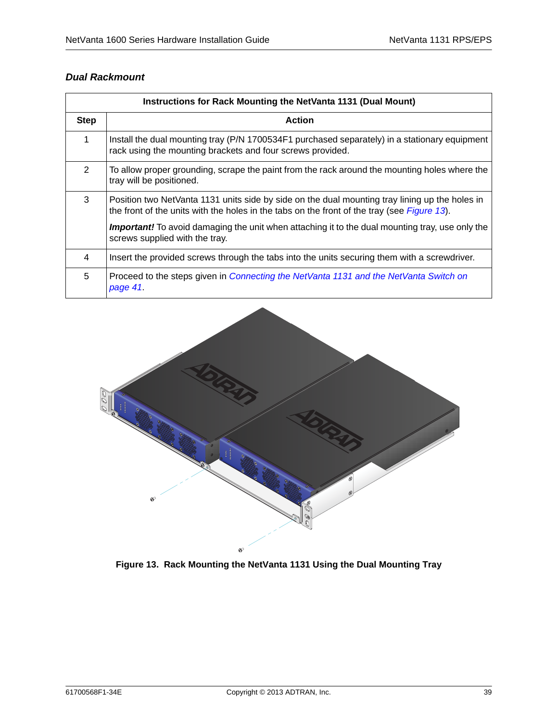### *Dual Rackmount*

| Instructions for Rack Mounting the NetVanta 1131 (Dual Mount) |                                                                                                                                                                                               |  |  |
|---------------------------------------------------------------|-----------------------------------------------------------------------------------------------------------------------------------------------------------------------------------------------|--|--|
| <b>Step</b>                                                   | <b>Action</b>                                                                                                                                                                                 |  |  |
| 1                                                             | Install the dual mounting tray (P/N 1700534F1 purchased separately) in a stationary equipment<br>rack using the mounting brackets and four screws provided.                                   |  |  |
| 2                                                             | To allow proper grounding, scrape the paint from the rack around the mounting holes where the<br>tray will be positioned.                                                                     |  |  |
| 3                                                             | Position two NetVanta 1131 units side by side on the dual mounting tray lining up the holes in<br>the front of the units with the holes in the tabs on the front of the tray (see Figure 13). |  |  |
|                                                               | <b>Important!</b> To avoid damaging the unit when attaching it to the dual mounting tray, use only the<br>screws supplied with the tray.                                                      |  |  |
| 4                                                             | Insert the provided screws through the tabs into the units securing them with a screwdriver.                                                                                                  |  |  |
| 5                                                             | Proceed to the steps given in Connecting the NetVanta 1131 and the NetVanta Switch on<br>page 41.                                                                                             |  |  |

<span id="page-38-0"></span>

**Figure 13. Rack Mounting the NetVanta 1131 Using the Dual Mounting Tray**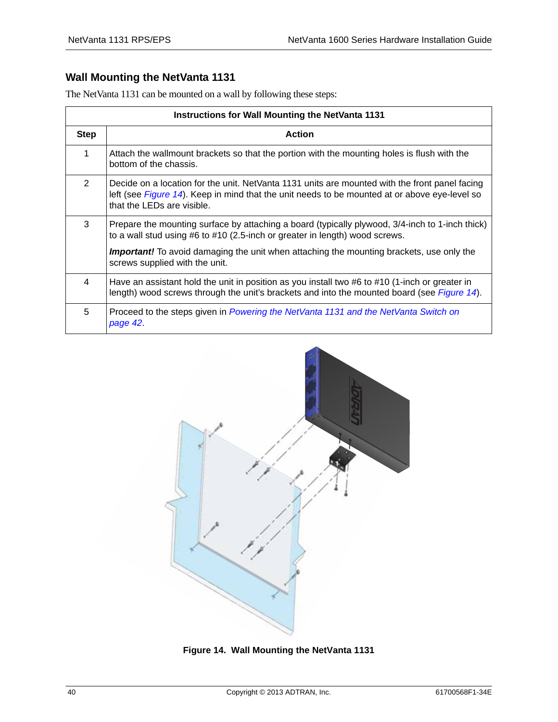# <span id="page-39-0"></span>**Wall Mounting the NetVanta 1131**

The NetVanta 1131 can be mounted on a wall by following these steps:

| <b>Instructions for Wall Mounting the NetVanta 1131</b> |                                                                                                                                                                                                                               |  |  |
|---------------------------------------------------------|-------------------------------------------------------------------------------------------------------------------------------------------------------------------------------------------------------------------------------|--|--|
| <b>Step</b>                                             | <b>Action</b>                                                                                                                                                                                                                 |  |  |
| 1                                                       | Attach the wallmount brackets so that the portion with the mounting holes is flush with the<br>bottom of the chassis.                                                                                                         |  |  |
| 2                                                       | Decide on a location for the unit. NetVanta 1131 units are mounted with the front panel facing<br>left (see Figure 14). Keep in mind that the unit needs to be mounted at or above eye-level so<br>that the LEDs are visible. |  |  |
| 3                                                       | Prepare the mounting surface by attaching a board (typically plywood, 3/4-inch to 1-inch thick)<br>to a wall stud using #6 to #10 (2.5-inch or greater in length) wood screws.                                                |  |  |
|                                                         | <b>Important!</b> To avoid damaging the unit when attaching the mounting brackets, use only the<br>screws supplied with the unit.                                                                                             |  |  |
| 4                                                       | Have an assistant hold the unit in position as you install two #6 to #10 (1-inch or greater in<br>length) wood screws through the unit's brackets and into the mounted board (see Figure 14).                                 |  |  |
| 5                                                       | Proceed to the steps given in Powering the NetVanta 1131 and the NetVanta Switch on<br>page 42.                                                                                                                               |  |  |

<span id="page-39-1"></span>

**Figure 14. Wall Mounting the NetVanta 1131**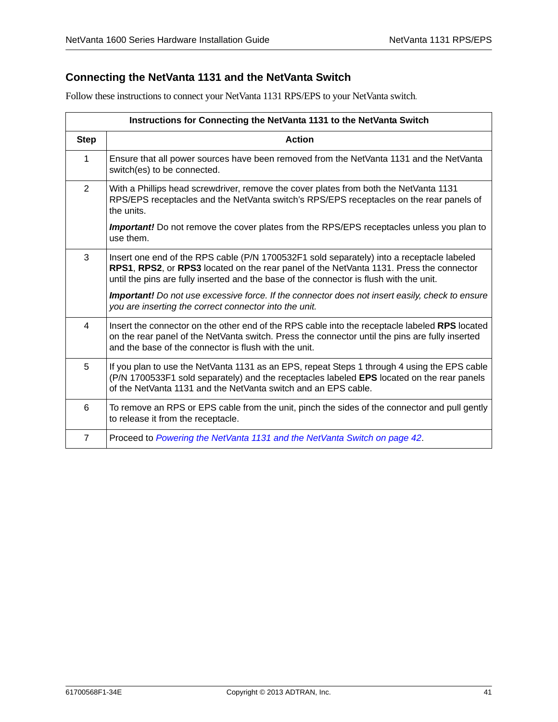# <span id="page-40-0"></span>**Connecting the NetVanta 1131 and the NetVanta Switch**

Follow these instructions to connect your NetVanta 1131 RPS/EPS to your NetVanta switch.

| Instructions for Connecting the NetVanta 1131 to the NetVanta Switch |                                                                                                                                                                                                                                                                                 |  |  |
|----------------------------------------------------------------------|---------------------------------------------------------------------------------------------------------------------------------------------------------------------------------------------------------------------------------------------------------------------------------|--|--|
| <b>Step</b>                                                          | <b>Action</b>                                                                                                                                                                                                                                                                   |  |  |
| $\mathbf 1$                                                          | Ensure that all power sources have been removed from the NetVanta 1131 and the NetVanta<br>switch(es) to be connected.                                                                                                                                                          |  |  |
| $\overline{2}$                                                       | With a Phillips head screwdriver, remove the cover plates from both the NetVanta 1131<br>RPS/EPS receptacles and the NetVanta switch's RPS/EPS receptacles on the rear panels of<br>the units.                                                                                  |  |  |
|                                                                      | <b>Important!</b> Do not remove the cover plates from the RPS/EPS receptacles unless you plan to<br>use them.                                                                                                                                                                   |  |  |
| 3                                                                    | Insert one end of the RPS cable (P/N 1700532F1 sold separately) into a receptacle labeled<br>RPS1, RPS2, or RPS3 located on the rear panel of the NetVanta 1131. Press the connector<br>until the pins are fully inserted and the base of the connector is flush with the unit. |  |  |
|                                                                      | <b>Important!</b> Do not use excessive force. If the connector does not insert easily, check to ensure<br>you are inserting the correct connector into the unit.                                                                                                                |  |  |
| 4                                                                    | Insert the connector on the other end of the RPS cable into the receptacle labeled RPS located<br>on the rear panel of the NetVanta switch. Press the connector until the pins are fully inserted<br>and the base of the connector is flush with the unit.                      |  |  |
| 5                                                                    | If you plan to use the NetVanta 1131 as an EPS, repeat Steps 1 through 4 using the EPS cable<br>(P/N 1700533F1 sold separately) and the receptacles labeled EPS located on the rear panels<br>of the NetVanta 1131 and the NetVanta switch and an EPS cable.                    |  |  |
| 6                                                                    | To remove an RPS or EPS cable from the unit, pinch the sides of the connector and pull gently<br>to release it from the receptacle.                                                                                                                                             |  |  |
| $\overline{7}$                                                       | Proceed to Powering the NetVanta 1131 and the NetVanta Switch on page 42.                                                                                                                                                                                                       |  |  |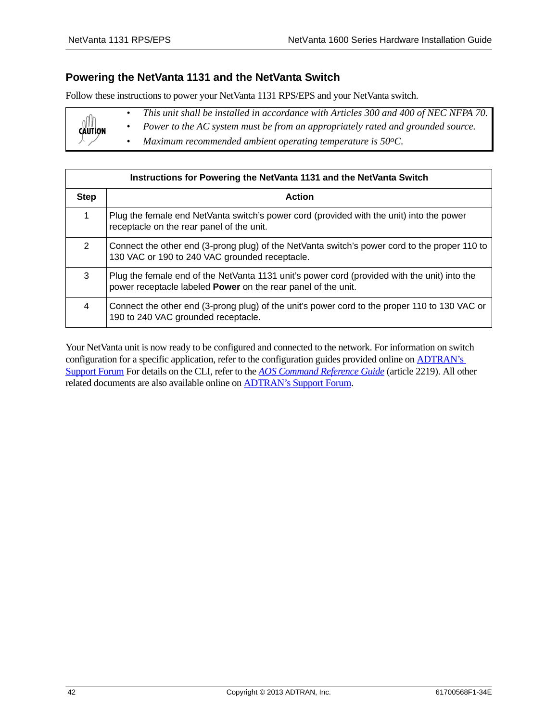### <span id="page-41-0"></span>**Powering the NetVanta 1131 and the NetVanta Switch**

Follow these instructions to power your NetVanta 1131 RPS/EPS and your NetVanta switch.

|                | This unit shall be installed in accordance with Articles 300 and 400 of NEC NFPA 70. |
|----------------|--------------------------------------------------------------------------------------|
| <b>CAUTION</b> | Power to the AC system must be from an appropriately rated and grounded source.      |
|                | Maximum recommended ambient operating temperature is $50^{\circ}$ C.                 |

| Instructions for Powering the NetVanta 1131 and the NetVanta Switch |                                                                                                                                                                      |  |  |
|---------------------------------------------------------------------|----------------------------------------------------------------------------------------------------------------------------------------------------------------------|--|--|
| <b>Step</b>                                                         | <b>Action</b>                                                                                                                                                        |  |  |
| 1                                                                   | Plug the female end NetVanta switch's power cord (provided with the unit) into the power<br>receptacle on the rear panel of the unit.                                |  |  |
| 2                                                                   | Connect the other end (3-prong plug) of the NetVanta switch's power cord to the proper 110 to<br>130 VAC or 190 to 240 VAC grounded receptacle.                      |  |  |
| 3                                                                   | Plug the female end of the NetVanta 1131 unit's power cord (provided with the unit) into the<br>power receptacle labeled <b>Power</b> on the rear panel of the unit. |  |  |
| 4                                                                   | Connect the other end (3-prong plug) of the unit's power cord to the proper 110 to 130 VAC or<br>190 to 240 VAC grounded receptacle.                                 |  |  |

Your NetVanta unit is now ready to be configured and connected to the network. For information on switch configuration for a specific application, refer to the configuration guides provided online on [ADTRAN's](http://supportforums.adtran.com)  [Support Forum](http://supportforums.adtran.com) [For details on the CLI, refer to the](http://kb.adtran.com/display/2/kb/emailArticle.aspx?aid=2219) *AOS Command Reference Guide* (article 2219). All other related documents are also available online on [ADTRAN's Support Forum](http://supportforums.adtran.com).